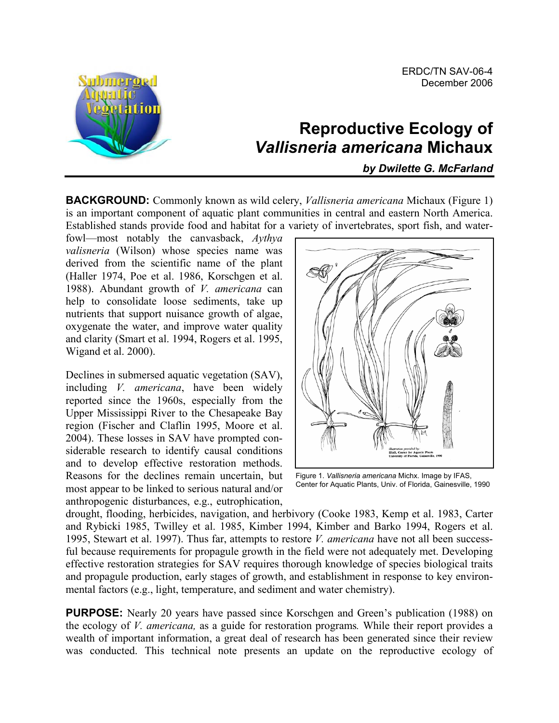

# **Reproductive Ecology of**  *Vallisneria americana* **Michaux**

*by Dwilette G. McFarland* 

**BACKGROUND:** Commonly known as wild celery, *Vallisneria americana* Michaux (Figure 1) is an important component of aquatic plant communities in central and eastern North America. Established stands provide food and habitat for a variety of invertebrates, sport fish, and water-

fowl—most notably the canvasback, *Aythya valisneria* (Wilson) whose species name was derived from the scientific name of the plant (Haller 1974, Poe et al. 1986, Korschgen et al. 1988). Abundant growth of *V. americana* can help to consolidate loose sediments, take up nutrients that support nuisance growth of algae, oxygenate the water, and improve water quality and clarity (Smart et al. 1994, Rogers et al. 1995, Wigand et al. 2000).

Declines in submersed aquatic vegetation (SAV), including *V. americana*, have been widely reported since the 1960s, especially from the Upper Mississippi River to the Chesapeake Bay region (Fischer and Claflin 1995, Moore et al. 2004). These losses in SAV have prompted considerable research to identify causal conditions and to develop effective restoration methods. Reasons for the declines remain uncertain, but most appear to be linked to serious natural and/or anthropogenic disturbances, e.g., eutrophication,



Figure 1. *Vallisneria americana* Michx. Image by IFAS, Center for Aquatic Plants, Univ. of Florida, Gainesville, 1990

drought, flooding, herbicides, navigation, and herbivory (Cooke 1983, Kemp et al. 1983, Carter and Rybicki 1985, Twilley et al. 1985, Kimber 1994, Kimber and Barko 1994, Rogers et al. 1995, Stewart et al. 1997). Thus far, attempts to restore *V. americana* have not all been successful because requirements for propagule growth in the field were not adequately met. Developing effective restoration strategies for SAV requires thorough knowledge of species biological traits and propagule production, early stages of growth, and establishment in response to key environmental factors (e.g., light, temperature, and sediment and water chemistry).

**PURPOSE:** Nearly 20 years have passed since Korschgen and Green's publication (1988) on the ecology of *V. americana,* as a guide for restoration programs*.* While their report provides a wealth of important information, a great deal of research has been generated since their review was conducted. This technical note presents an update on the reproductive ecology of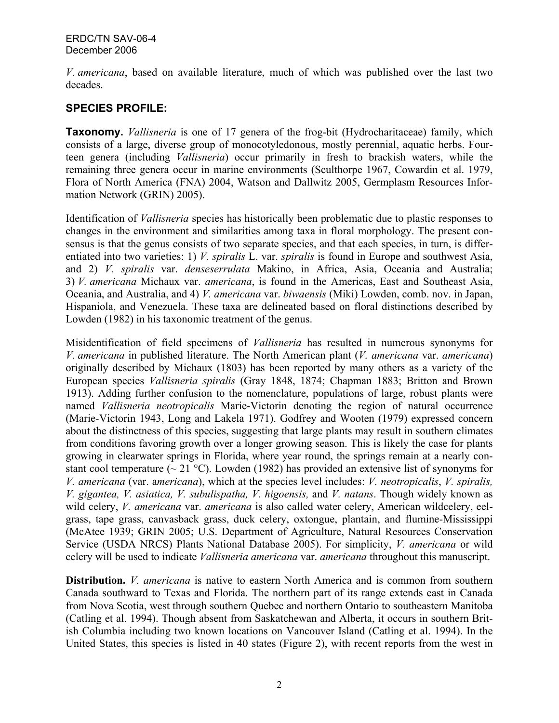*V. americana*, based on available literature, much of which was published over the last two decades.

## **SPECIES PROFILE:**

**Taxonomy.** *Vallisneria* is one of 17 genera of the frog-bit (Hydrocharitaceae) family, which consists of a large, diverse group of monocotyledonous, mostly perennial, aquatic herbs. Fourteen genera (including *Vallisneria*) occur primarily in fresh to brackish waters, while the remaining three genera occur in marine environments (Sculthorpe 1967, Cowardin et al. 1979, Flora of North America (FNA) 2004, Watson and Dallwitz 2005, Germplasm Resources Information Network (GRIN) 2005).

Identification of *Vallisneria* species has historically been problematic due to plastic responses to changes in the environment and similarities among taxa in floral morphology. The present consensus is that the genus consists of two separate species, and that each species, in turn, is differentiated into two varieties: 1) *V. spiralis* L. var. *spiralis* is found in Europe and southwest Asia, and 2) *V. spiralis* var. *denseserrulata* Makino, in Africa, Asia, Oceania and Australia; 3) *V. americana* Michaux var. *americana*, is found in the Americas, East and Southeast Asia, Oceania, and Australia, and 4) *V. americana* var. *biwaensis* (Miki) Lowden, comb. nov. in Japan, Hispaniola, and Venezuela. These taxa are delineated based on floral distinctions described by Lowden (1982) in his taxonomic treatment of the genus.

Misidentification of field specimens of *Vallisneria* has resulted in numerous synonyms for *V. americana* in published literature. The North American plant (*V. americana* var. *americana*) originally described by Michaux (1803) has been reported by many others as a variety of the European species *Vallisneria spiralis* (Gray 1848, 1874; Chapman 1883; Britton and Brown 1913). Adding further confusion to the nomenclature, populations of large, robust plants were named *Vallisneria neotropicalis* Marie-Victorin denoting the region of natural occurrence (Marie-Victorin 1943, Long and Lakela 1971). Godfrey and Wooten (1979) expressed concern about the distinctness of this species, suggesting that large plants may result in southern climates from conditions favoring growth over a longer growing season. This is likely the case for plants growing in clearwater springs in Florida, where year round, the springs remain at a nearly constant cool temperature ( $\sim$  21 °C). Lowden (1982) has provided an extensive list of synonyms for *V. americana* (var. a*mericana*), which at the species level includes: *V. neotropicalis*, *V. spiralis, V. gigantea, V. asiatica, V. subulispatha, V. higoensis,* and *V. natans*. Though widely known as wild celery, *V. americana* var. *americana* is also called water celery, American wildcelery, eelgrass, tape grass, canvasback grass, duck celery, oxtongue, plantain, and flumine-Mississippi (McAtee 1939; GRIN 2005; U.S. Department of Agriculture, Natural Resources Conservation Service (USDA NRCS) Plants National Database 2005). For simplicity, *V. americana* or wild celery will be used to indicate *Vallisneria americana* var. *americana* throughout this manuscript.

**Distribution.** *V. americana* is native to eastern North America and is common from southern Canada southward to Texas and Florida. The northern part of its range extends east in Canada from Nova Scotia, west through southern Quebec and northern Ontario to southeastern Manitoba (Catling et al. 1994). Though absent from Saskatchewan and Alberta, it occurs in southern British Columbia including two known locations on Vancouver Island (Catling et al. 1994). In the United States, this species is listed in 40 states (Figure 2), with recent reports from the west in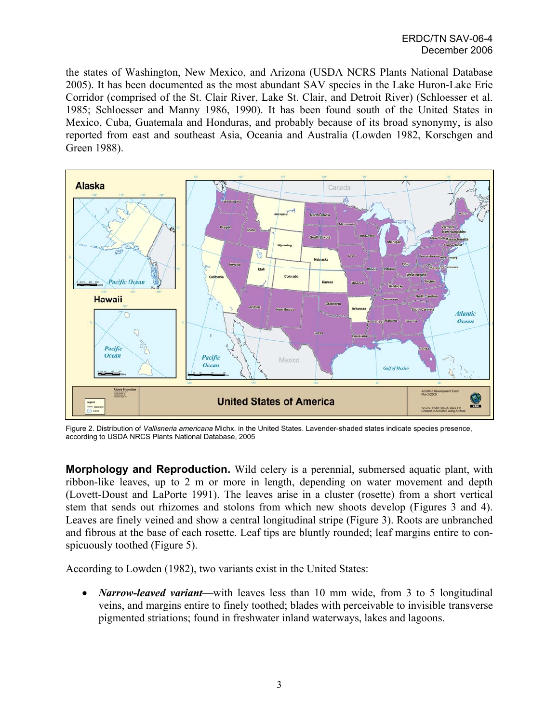the states of Washington, New Mexico, and Arizona (USDA NCRS Plants National Database 2005). It has been documented as the most abundant SAV species in the Lake Huron-Lake Erie Corridor (comprised of the St. Clair River, Lake St. Clair, and Detroit River) (Schloesser et al. 1985; Schloesser and Manny 1986, 1990). It has been found south of the United States in Mexico, Cuba, Guatemala and Honduras, and probably because of its broad synonymy, is also reported from east and southeast Asia, Oceania and Australia (Lowden 1982, Korschgen and Green 1988).



Figure 2. Distribution of *Vallisneria americana* Michx. in the United States. Lavender-shaded states indicate species presence, according to USDA NRCS Plants National Database, 2005

**Morphology and Reproduction.** Wild celery is a perennial, submersed aquatic plant, with ribbon-like leaves, up to 2 m or more in length, depending on water movement and depth (Lovett-Doust and LaPorte 1991). The leaves arise in a cluster (rosette) from a short vertical stem that sends out rhizomes and stolons from which new shoots develop (Figures 3 and 4). Leaves are finely veined and show a central longitudinal stripe (Figure 3). Roots are unbranched and fibrous at the base of each rosette. Leaf tips are bluntly rounded; leaf margins entire to conspicuously toothed (Figure 5).

According to Lowden (1982), two variants exist in the United States:

• *Narrow-leaved variant*—with leaves less than 10 mm wide, from 3 to 5 longitudinal veins, and margins entire to finely toothed; blades with perceivable to invisible transverse pigmented striations; found in freshwater inland waterways, lakes and lagoons.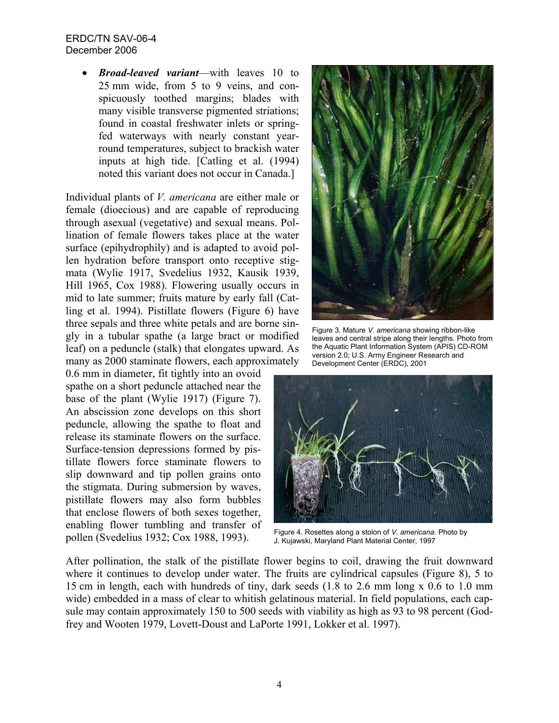• *Broad-leaved variant*—with leaves 10 to 25 mm wide, from 5 to 9 veins, and conspicuously toothed margins; blades with many visible transverse pigmented striations; found in coastal freshwater inlets or springfed waterways with nearly constant yearround temperatures, subject to brackish water inputs at high tide. [Catling et al. (1994) noted this variant does not occur in Canada.]

Individual plants of *V. americana* are either male or female (dioecious) and are capable of reproducing through asexual (vegetative) and sexual means. Pollination of female flowers takes place at the water surface (epihydrophily) and is adapted to avoid pollen hydration before transport onto receptive stigmata (Wylie 1917, Svedelius 1932, Kausik 1939, Hill 1965, Cox 1988). Flowering usually occurs in mid to late summer; fruits mature by early fall (Catling et al. 1994). Pistillate flowers (Figure 6) have three sepals and three white petals and are borne singly in a tubular spathe (a large bract or modified leaf) on a peduncle (stalk) that elongates upward. As many as 2000 staminate flowers, each approximately

0.6 mm in diameter, fit tightly into an ovoid spathe on a short peduncle attached near the base of the plant (Wylie 1917) (Figure 7). An abscission zone develops on this short peduncle, allowing the spathe to float and release its staminate flowers on the surface. Surface-tension depressions formed by pistillate flowers force staminate flowers to slip downward and tip pollen grains onto the stigmata. During submersion by waves, pistillate flowers may also form bubbles that enclose flowers of both sexes together, enabling flower tumbling and transfer of pollen (Svedelius 1932; Cox 1988, 1993).



Figure 3. Mature *V. americana* showing ribbon-like leaves and central stripe along their lengths*.* Photo f rom the Aquatic Plant Information System (APIS) CD-ROM version 2.0; U.S. Army Engineer Research and Development Center (ERDC), 2001



Figure 4. Rosettes along a stolon of *V. americana*. Photo by J. Kujawski, Maryland Plant Material Center, 1997

After pollination, the stalk of the pistillate flower begins to coil, drawing the fruit downward where it continues to develop under water. The fruits are cylindrical capsules (Figure 8), 5 to 15 cm in length, each with hundreds of tiny, dark seeds (1.8 to 2.6 mm long x 0.6 to 1.0 mm wide) embedded in a mass of clear to whitish gelatinous material. In field populations, each capsule may contain approximately 150 to 500 seeds with viability as high as 93 to 98 percent (Godfrey and Wooten 1979, Lovett-Doust and LaPorte 1991, Lokker et al. 1997).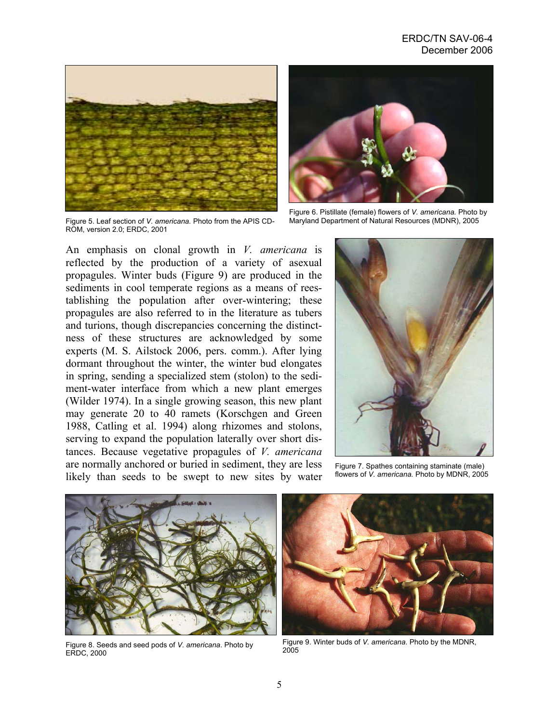

Figure 5. Leaf section of *V. americana.* Photo from the APIS CD-ROM, version 2.0; ERDC, 2001



Figure 6. Pistillate (female) flowers of *V. americana.* Photo by Maryland Department of Natural Resources (MDNR), 2005

An emphasis on clonal growth in *V. americana* is reflected by the production of a variety of asexual propagules. Winter buds (Figure 9) are produced in the sediments in cool temperate regions as a means of reestablishing the population after over-wintering; these propagules are also referred to in the literature as tubers and turions, though discrepancies concerning the distinctness of these structures are acknowledged by some experts (M. S. Ailstock 2006, pers. comm.). After lying dormant throughout the winter, the winter bud elongates in spring, sending a specialized stem (stolon) to the sediment-water interface from which a new plant emerges (Wilder 1974). In a single growing season, this new plant may generate 20 to 40 ramets (Korschgen and Green 1988, Catling et al. 1994) along rhizomes and stolons, serving to expand the population laterally over short distances. Because vegetative propagules of *V. americana* are normally anchored or buried in sediment, they are less likely than seeds to be swept to new sites by water



Figure 7. Spathes containing staminate (male) flowers of *V. americana.* Photo by MDNR, 2005



Figure 8. Seeds and seed pods of *V. americana*. Photo by ERDC, 2000



Figure 9. Winter buds of *V. americana*. Photo by the MDNR, 2005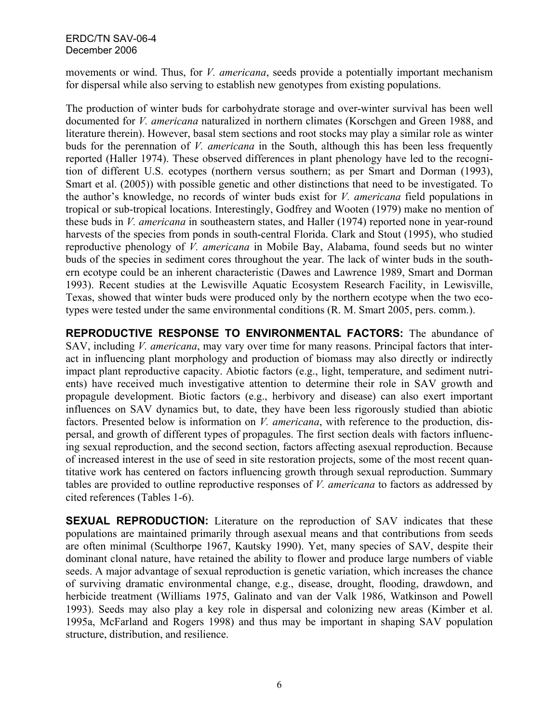movements or wind. Thus, for *V. americana*, seeds provide a potentially important mechanism for dispersal while also serving to establish new genotypes from existing populations.

The production of winter buds for carbohydrate storage and over-winter survival has been well documented for *V. americana* naturalized in northern climates (Korschgen and Green 1988, and literature therein). However, basal stem sections and root stocks may play a similar role as winter buds for the perennation of *V. americana* in the South, although this has been less frequently reported (Haller 1974). These observed differences in plant phenology have led to the recognition of different U.S. ecotypes (northern versus southern; as per Smart and Dorman (1993), Smart et al. (2005)) with possible genetic and other distinctions that need to be investigated. To the author's knowledge, no records of winter buds exist for *V. americana* field populations in tropical or sub-tropical locations. Interestingly, Godfrey and Wooten (1979) make no mention of these buds in *V. americana* in southeastern states, and Haller (1974) reported none in year-round harvests of the species from ponds in south-central Florida. Clark and Stout (1995), who studied reproductive phenology of *V. americana* in Mobile Bay, Alabama, found seeds but no winter buds of the species in sediment cores throughout the year. The lack of winter buds in the southern ecotype could be an inherent characteristic (Dawes and Lawrence 1989, Smart and Dorman 1993). Recent studies at the Lewisville Aquatic Ecosystem Research Facility, in Lewisville, Texas, showed that winter buds were produced only by the northern ecotype when the two ecotypes were tested under the same environmental conditions (R. M. Smart 2005, pers. comm.).

**REPRODUCTIVE RESPONSE TO ENVIRONMENTAL FACTORS:** The abundance of SAV, including *V. americana*, may vary over time for many reasons. Principal factors that interact in influencing plant morphology and production of biomass may also directly or indirectly impact plant reproductive capacity. Abiotic factors (e.g., light, temperature, and sediment nutrients) have received much investigative attention to determine their role in SAV growth and propagule development. Biotic factors (e.g., herbivory and disease) can also exert important influences on SAV dynamics but, to date, they have been less rigorously studied than abiotic factors. Presented below is information on *V. americana*, with reference to the production, dispersal, and growth of different types of propagules. The first section deals with factors influencing sexual reproduction, and the second section, factors affecting asexual reproduction. Because of increased interest in the use of seed in site restoration projects, some of the most recent quantitative work has centered on factors influencing growth through sexual reproduction. Summary tables are provided to outline reproductive responses of *V. americana* to factors as addressed by cited references (Tables 1-6).

**SEXUAL REPRODUCTION:** Literature on the reproduction of SAV indicates that these populations are maintained primarily through asexual means and that contributions from seeds are often minimal (Sculthorpe 1967, Kautsky 1990). Yet, many species of SAV, despite their dominant clonal nature, have retained the ability to flower and produce large numbers of viable seeds. A major advantage of sexual reproduction is genetic variation, which increases the chance of surviving dramatic environmental change, e.g., disease, drought, flooding, drawdown, and herbicide treatment (Williams 1975, Galinato and van der Valk 1986, Watkinson and Powell 1993). Seeds may also play a key role in dispersal and colonizing new areas (Kimber et al. 1995a, McFarland and Rogers 1998) and thus may be important in shaping SAV population structure, distribution, and resilience.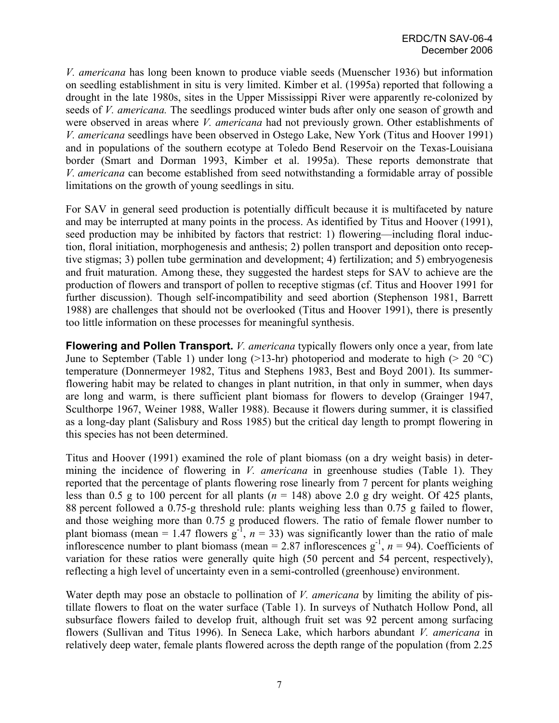*V. americana* has long been known to produce viable seeds (Muenscher 1936) but information on seedling establishment in situ is very limited. Kimber et al. (1995a) reported that following a drought in the late 1980s, sites in the Upper Mississippi River were apparently re-colonized by seeds of *V. americana.* The seedlings produced winter buds after only one season of growth and were observed in areas where *V. americana* had not previously grown. Other establishments of *V. americana* seedlings have been observed in Ostego Lake, New York (Titus and Hoover 1991) and in populations of the southern ecotype at Toledo Bend Reservoir on the Texas-Louisiana border (Smart and Dorman 1993, Kimber et al. 1995a). These reports demonstrate that *V. americana* can become established from seed notwithstanding a formidable array of possible limitations on the growth of young seedlings in situ.

For SAV in general seed production is potentially difficult because it is multifaceted by nature and may be interrupted at many points in the process. As identified by Titus and Hoover (1991), seed production may be inhibited by factors that restrict: 1) flowering—including floral induction, floral initiation, morphogenesis and anthesis; 2) pollen transport and deposition onto receptive stigmas; 3) pollen tube germination and development; 4) fertilization; and 5) embryogenesis and fruit maturation. Among these, they suggested the hardest steps for SAV to achieve are the production of flowers and transport of pollen to receptive stigmas (cf. Titus and Hoover 1991 for further discussion). Though self-incompatibility and seed abortion (Stephenson 1981, Barrett 1988) are challenges that should not be overlooked (Titus and Hoover 1991), there is presently too little information on these processes for meaningful synthesis.

**Flowering and Pollen Transport.** *V. americana* typically flowers only once a year, from late June to September (Table 1) under long (>13-hr) photoperiod and moderate to high (> 20 °C) temperature (Donnermeyer 1982, Titus and Stephens 1983, Best and Boyd 2001). Its summerflowering habit may be related to changes in plant nutrition, in that only in summer, when days are long and warm, is there sufficient plant biomass for flowers to develop (Grainger 1947, Sculthorpe 1967, Weiner 1988, Waller 1988). Because it flowers during summer, it is classified as a long-day plant (Salisbury and Ross 1985) but the critical day length to prompt flowering in this species has not been determined.

Titus and Hoover (1991) examined the role of plant biomass (on a dry weight basis) in determining the incidence of flowering in *V. americana* in greenhouse studies (Table 1). They reported that the percentage of plants flowering rose linearly from 7 percent for plants weighing less than 0.5 g to 100 percent for all plants ( $n = 148$ ) above 2.0 g dry weight. Of 425 plants, 88 percent followed a 0.75-g threshold rule: plants weighing less than 0.75 g failed to flower, and those weighing more than 0.75 g produced flowers. The ratio of female flower number to plant biomass (mean = 1.47 flowers  $g^{-1}$ ,  $n = 33$ ) was significantly lower than the ratio of male inflorescence number to plant biomass (mean = 2.87 inflorescences  $g^{-1}$ ,  $n = 94$ ). Coefficients of variation for these ratios were generally quite high (50 percent and 54 percent, respectively), reflecting a high level of uncertainty even in a semi-controlled (greenhouse) environment.

Water depth may pose an obstacle to pollination of *V. americana* by limiting the ability of pistillate flowers to float on the water surface (Table 1). In surveys of Nuthatch Hollow Pond, all subsurface flowers failed to develop fruit, although fruit set was 92 percent among surfacing flowers (Sullivan and Titus 1996). In Seneca Lake, which harbors abundant *V. americana* in relatively deep water, female plants flowered across the depth range of the population (from 2.25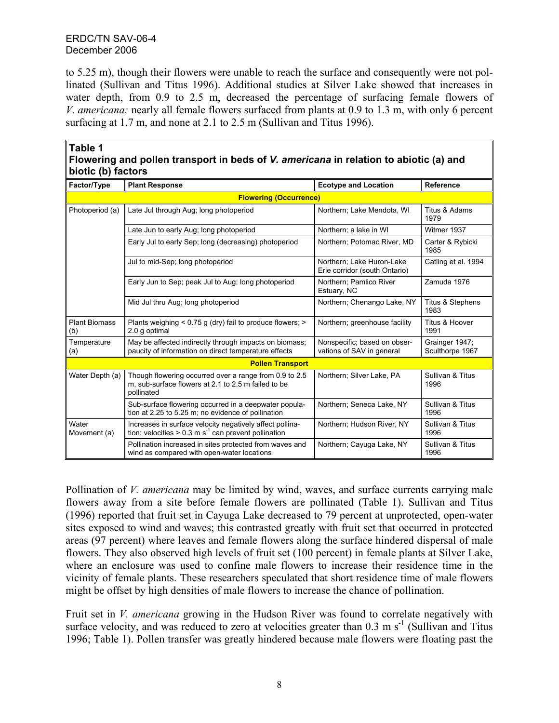**Table 1** 

to 5.25 m), though their flowers were unable to reach the surface and consequently were not pollinated (Sullivan and Titus 1996). Additional studies at Silver Lake showed that increases in water depth, from 0.9 to 2.5 m, decreased the percentage of surfacing female flowers of *V. americana:* nearly all female flowers surfaced from plants at 0.9 to 1.3 m, with only 6 percent surfacing at 1.7 m, and none at 2.1 to 2.5 m (Sullivan and Titus 1996).

| biotic (b) factors          |                                                                                                                              |                                                            |                                   |  |
|-----------------------------|------------------------------------------------------------------------------------------------------------------------------|------------------------------------------------------------|-----------------------------------|--|
| Factor/Type                 | <b>Plant Response</b>                                                                                                        | <b>Ecotype and Location</b>                                | <b>Reference</b>                  |  |
|                             | <b>Flowering (Occurrence)</b>                                                                                                |                                                            |                                   |  |
| Photoperiod (a)             | Late Jul through Aug; long photoperiod                                                                                       | Northern; Lake Mendota, WI                                 | Titus & Adams<br>1979             |  |
|                             | Late Jun to early Aug; long photoperiod                                                                                      | Northern; a lake in WI                                     | Witmer 1937                       |  |
|                             | Early Jul to early Sep; long (decreasing) photoperiod                                                                        | Northern; Potomac River, MD                                | Carter & Rybicki<br>1985          |  |
|                             | Jul to mid-Sep; long photoperiod                                                                                             | Northern; Lake Huron-Lake<br>Erie corridor (south Ontario) | Catling et al. 1994               |  |
|                             | Early Jun to Sep; peak Jul to Aug; long photoperiod                                                                          | Northern: Pamlico River<br>Estuary, NC                     | Zamuda 1976                       |  |
|                             | Mid Jul thru Aug; long photoperiod                                                                                           | Northern; Chenango Lake, NY                                | Titus & Stephens<br>1983          |  |
| <b>Plant Biomass</b><br>(b) | Plants weighing < 0.75 g (dry) fail to produce flowers; ><br>2.0 g optimal                                                   | Northern; greenhouse facility                              | Titus & Hoover<br>1991            |  |
| Temperature<br>(a)          | May be affected indirectly through impacts on biomass;<br>paucity of information on direct temperature effects               | Nonspecific; based on obser-<br>vations of SAV in general  | Grainger 1947:<br>Sculthorpe 1967 |  |
| <b>Pollen Transport</b>     |                                                                                                                              |                                                            |                                   |  |
| Water Depth (a)             | Though flowering occurred over a range from 0.9 to 2.5<br>m, sub-surface flowers at 2.1 to 2.5 m failed to be<br>pollinated  | Northern; Silver Lake, PA                                  | Sullivan & Titus<br>1996          |  |
|                             | Sub-surface flowering occurred in a deepwater popula-<br>tion at 2.25 to 5.25 m; no evidence of pollination                  | Northern; Seneca Lake, NY                                  | Sullivan & Titus<br>1996          |  |
| Water<br>Movement (a)       | Increases in surface velocity negatively affect pollina-<br>tion; velocities > 0.3 m s <sup>-1</sup> can prevent pollination | Northern; Hudson River, NY                                 | Sullivan & Titus<br>1996          |  |
|                             | Pollination increased in sites protected from waves and<br>wind as compared with open-water locations                        | Northern; Cayuga Lake, NY                                  | Sullivan & Titus<br>1996          |  |

| .                                                                                     |  |
|---------------------------------------------------------------------------------------|--|
| Flowering and pollen transport in beds of V. americana in relation to abiotic (a) and |  |
| biotic (b) factors                                                                    |  |

Pollination of *V. americana* may be limited by wind, waves, and surface currents carrying male flowers away from a site before female flowers are pollinated (Table 1). Sullivan and Titus (1996) reported that fruit set in Cayuga Lake decreased to 79 percent at unprotected, open-water sites exposed to wind and waves; this contrasted greatly with fruit set that occurred in protected areas (97 percent) where leaves and female flowers along the surface hindered dispersal of male flowers. They also observed high levels of fruit set (100 percent) in female plants at Silver Lake, where an enclosure was used to confine male flowers to increase their residence time in the vicinity of female plants. These researchers speculated that short residence time of male flowers might be offset by high densities of male flowers to increase the chance of pollination.

Fruit set in *V. americana* growing in the Hudson River was found to correlate negatively with surface velocity, and was reduced to zero at velocities greater than  $0.3 \text{ m s}^{-1}$  (Sullivan and Titus 1996; Table 1). Pollen transfer was greatly hindered because male flowers were floating past the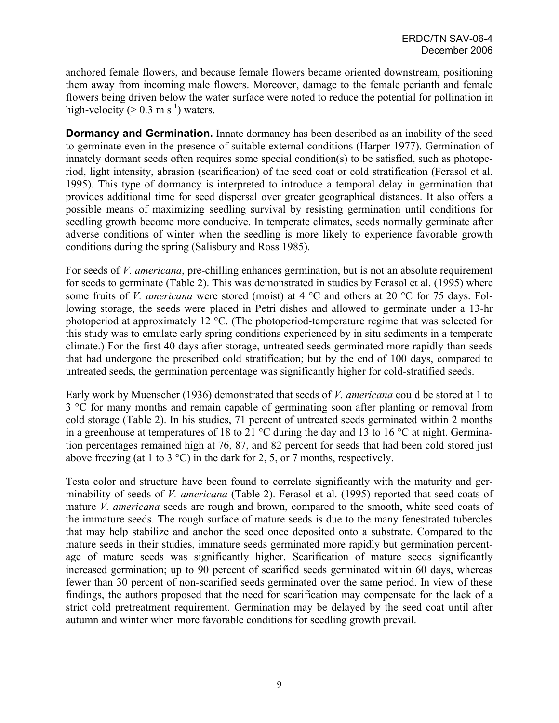anchored female flowers, and because female flowers became oriented downstream, positioning them away from incoming male flowers. Moreover, damage to the female perianth and female flowers being driven below the water surface were noted to reduce the potential for pollination in high-velocity ( $> 0.3$  m s<sup>-1</sup>) waters.

**Dormancy and Germination.** Innate dormancy has been described as an inability of the seed to germinate even in the presence of suitable external conditions (Harper 1977). Germination of innately dormant seeds often requires some special condition(s) to be satisfied, such as photoperiod, light intensity, abrasion (scarification) of the seed coat or cold stratification (Ferasol et al. 1995). This type of dormancy is interpreted to introduce a temporal delay in germination that provides additional time for seed dispersal over greater geographical distances. It also offers a possible means of maximizing seedling survival by resisting germination until conditions for seedling growth become more conducive. In temperate climates, seeds normally germinate after adverse conditions of winter when the seedling is more likely to experience favorable growth conditions during the spring (Salisbury and Ross 1985).

For seeds of *V. americana*, pre-chilling enhances germination, but is not an absolute requirement for seeds to germinate (Table 2). This was demonstrated in studies by Ferasol et al. (1995) where some fruits of *V. americana* were stored (moist) at 4 °C and others at 20 °C for 75 days. Following storage, the seeds were placed in Petri dishes and allowed to germinate under a 13-hr photoperiod at approximately 12 °C. (The photoperiod-temperature regime that was selected for this study was to emulate early spring conditions experienced by in situ sediments in a temperate climate.) For the first 40 days after storage, untreated seeds germinated more rapidly than seeds that had undergone the prescribed cold stratification; but by the end of 100 days, compared to untreated seeds, the germination percentage was significantly higher for cold-stratified seeds.

Early work by Muenscher (1936) demonstrated that seeds of *V. americana* could be stored at 1 to 3 °C for many months and remain capable of germinating soon after planting or removal from cold storage (Table 2). In his studies, 71 percent of untreated seeds germinated within 2 months in a greenhouse at temperatures of 18 to 21 °C during the day and 13 to 16 °C at night. Germination percentages remained high at 76, 87, and 82 percent for seeds that had been cold stored just above freezing (at 1 to 3  $^{\circ}$ C) in the dark for 2, 5, or 7 months, respectively.

Testa color and structure have been found to correlate significantly with the maturity and germinability of seeds of *V. americana* (Table 2). Ferasol et al. (1995) reported that seed coats of mature *V. americana* seeds are rough and brown, compared to the smooth, white seed coats of the immature seeds. The rough surface of mature seeds is due to the many fenestrated tubercles that may help stabilize and anchor the seed once deposited onto a substrate. Compared to the mature seeds in their studies, immature seeds germinated more rapidly but germination percentage of mature seeds was significantly higher. Scarification of mature seeds significantly increased germination; up to 90 percent of scarified seeds germinated within 60 days, whereas fewer than 30 percent of non-scarified seeds germinated over the same period. In view of these findings, the authors proposed that the need for scarification may compensate for the lack of a strict cold pretreatment requirement. Germination may be delayed by the seed coat until after autumn and winter when more favorable conditions for seedling growth prevail.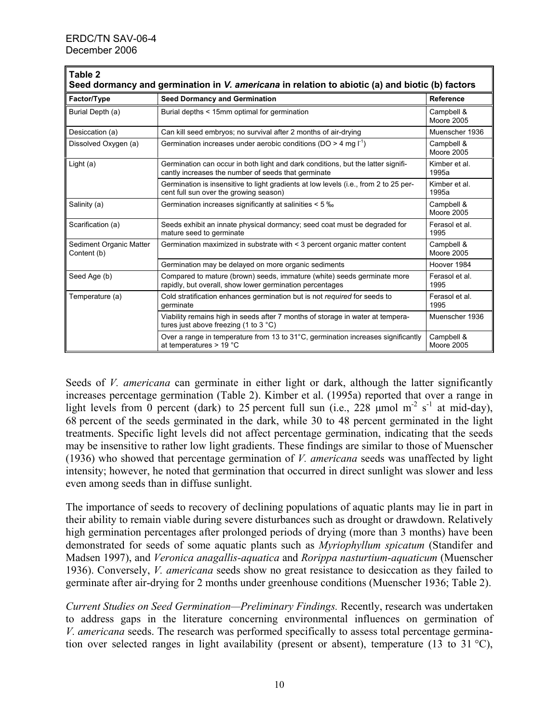| Table 2<br>Seed dormancy and germination in V. americana in relation to abiotic (a) and biotic (b) factors |                                                                                                                                         |                                 |  |
|------------------------------------------------------------------------------------------------------------|-----------------------------------------------------------------------------------------------------------------------------------------|---------------------------------|--|
| Factor/Type                                                                                                | <b>Seed Dormancy and Germination</b>                                                                                                    | Reference                       |  |
| Burial Depth (a)                                                                                           | Burial depths < 15mm optimal for germination                                                                                            | Campbell &<br>Moore 2005        |  |
| Desiccation (a)                                                                                            | Can kill seed embryos; no survival after 2 months of air-drying                                                                         | Muenscher 1936                  |  |
| Dissolved Oxygen (a)                                                                                       | Germination increases under aerobic conditions (DO > 4 mg $I^1$ )                                                                       | Campbell &<br><b>Moore 2005</b> |  |
| Light $(a)$                                                                                                | Germination can occur in both light and dark conditions, but the latter signifi-<br>cantly increases the number of seeds that germinate | Kimber et al.<br>1995a          |  |
|                                                                                                            | Germination is insensitive to light gradients at low levels (i.e., from 2 to 25 per-<br>cent full sun over the growing season)          | Kimber et al.<br>1995a          |  |
| Salinity (a)                                                                                               | Germination increases significantly at salinities < 5 %                                                                                 | Campbell &<br><b>Moore 2005</b> |  |
| Scarification (a)                                                                                          | Seeds exhibit an innate physical dormancy; seed coat must be degraded for<br>mature seed to germinate                                   | Ferasol et al.<br>1995          |  |
| Sediment Organic Matter<br>Content (b)                                                                     | Germination maximized in substrate with < 3 percent organic matter content                                                              | Campbell &<br>Moore 2005        |  |
|                                                                                                            | Germination may be delayed on more organic sediments                                                                                    | Hoover 1984                     |  |
| Seed Age (b)                                                                                               | Compared to mature (brown) seeds, immature (white) seeds germinate more<br>rapidly, but overall, show lower germination percentages     | Ferasol et al.<br>1995          |  |
| Temperature (a)                                                                                            | Cold stratification enhances germination but is not required for seeds to<br>germinate                                                  | Ferasol et al.<br>1995          |  |
|                                                                                                            | Viability remains high in seeds after 7 months of storage in water at tempera-<br>tures just above freezing (1 to 3 $^{\circ}$ C)       | Muenscher 1936                  |  |
|                                                                                                            | Over a range in temperature from 13 to $31^{\circ}$ C, germination increases significantly<br>at temperatures $> 19$ °C                 | Campbell &<br>Moore 2005        |  |

Seeds of *V. americana* can germinate in either light or dark, although the latter significantly increases percentage germination (Table 2). Kimber et al. (1995a) reported that over a range in light levels from 0 percent (dark) to 25 percent full sun (i.e., 228 µmol m<sup>-2</sup> s<sup>-1</sup> at mid-day), 68 percent of the seeds germinated in the dark, while 30 to 48 percent germinated in the light treatments. Specific light levels did not affect percentage germination, indicating that the seeds may be insensitive to rather low light gradients. These findings are similar to those of Muenscher (1936) who showed that percentage germination of *V. americana* seeds was unaffected by light intensity; however, he noted that germination that occurred in direct sunlight was slower and less even among seeds than in diffuse sunlight.

The importance of seeds to recovery of declining populations of aquatic plants may lie in part in their ability to remain viable during severe disturbances such as drought or drawdown. Relatively high germination percentages after prolonged periods of drying (more than 3 months) have been demonstrated for seeds of some aquatic plants such as *Myriophyllum spicatum* (Standifer and Madsen 1997), and *Veronica anagallis-aquatica* and *Rorippa nasturtium-aquaticum* (Muenscher 1936). Conversely, *V. americana* seeds show no great resistance to desiccation as they failed to germinate after air-drying for 2 months under greenhouse conditions (Muenscher 1936; Table 2).

*Current Studies on Seed Germination—Preliminary Findings.* Recently, research was undertaken to address gaps in the literature concerning environmental influences on germination of *V. americana* seeds. The research was performed specifically to assess total percentage germination over selected ranges in light availability (present or absent), temperature (13 to 31 °C),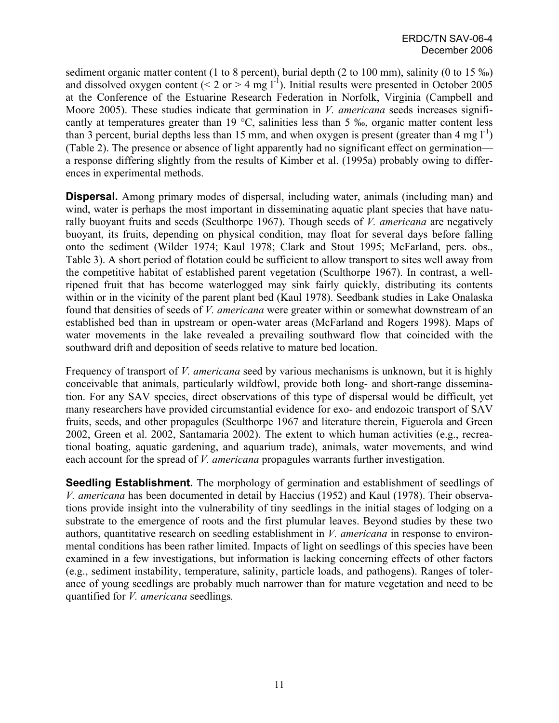sediment organic matter content (1 to 8 percent), burial depth (2 to 100 mm), salinity (0 to 15 ‰) and dissolved oxygen content (< 2 or > 4 mg  $1^{-1}$ ). Initial results were presented in October 2005 at the Conference of the Estuarine Research Federation in Norfolk, Virginia (Campbell and Moore 2005). These studies indicate that germination in *V. americana* seeds increases significantly at temperatures greater than 19 °C, salinities less than 5 ‰, organic matter content less than 3 percent, burial depths less than 15 mm, and when oxygen is present (greater than 4 mg  $1^{-1}$ ) (Table 2). The presence or absence of light apparently had no significant effect on germination a response differing slightly from the results of Kimber et al. (1995a) probably owing to differences in experimental methods.

**Dispersal.** Among primary modes of dispersal, including water, animals (including man) and wind, water is perhaps the most important in disseminating aquatic plant species that have naturally buoyant fruits and seeds (Sculthorpe 1967). Though seeds of *V. americana* are negatively buoyant, its fruits, depending on physical condition, may float for several days before falling onto the sediment (Wilder 1974; Kaul 1978; Clark and Stout 1995; McFarland, pers. obs., Table 3). A short period of flotation could be sufficient to allow transport to sites well away from the competitive habitat of established parent vegetation (Sculthorpe 1967). In contrast, a wellripened fruit that has become waterlogged may sink fairly quickly, distributing its contents within or in the vicinity of the parent plant bed (Kaul 1978). Seedbank studies in Lake Onalaska found that densities of seeds of *V. americana* were greater within or somewhat downstream of an established bed than in upstream or open-water areas (McFarland and Rogers 1998). Maps of water movements in the lake revealed a prevailing southward flow that coincided with the southward drift and deposition of seeds relative to mature bed location.

Frequency of transport of *V. americana* seed by various mechanisms is unknown, but it is highly conceivable that animals, particularly wildfowl, provide both long- and short-range dissemination. For any SAV species, direct observations of this type of dispersal would be difficult, yet many researchers have provided circumstantial evidence for exo- and endozoic transport of SAV fruits, seeds, and other propagules (Sculthorpe 1967 and literature therein, Figuerola and Green 2002, Green et al. 2002, Santamaria 2002). The extent to which human activities (e.g., recreational boating, aquatic gardening, and aquarium trade), animals, water movements, and wind each account for the spread of *V. americana* propagules warrants further investigation.

**Seedling Establishment.** The morphology of germination and establishment of seedlings of *V. americana* has been documented in detail by Haccius (1952) and Kaul (1978). Their observations provide insight into the vulnerability of tiny seedlings in the initial stages of lodging on a substrate to the emergence of roots and the first plumular leaves. Beyond studies by these two authors, quantitative research on seedling establishment in *V. americana* in response to environmental conditions has been rather limited. Impacts of light on seedlings of this species have been examined in a few investigations, but information is lacking concerning effects of other factors (e.g., sediment instability, temperature, salinity, particle loads, and pathogens). Ranges of tolerance of young seedlings are probably much narrower than for mature vegetation and need to be quantified for *V. americana* seedlings*.*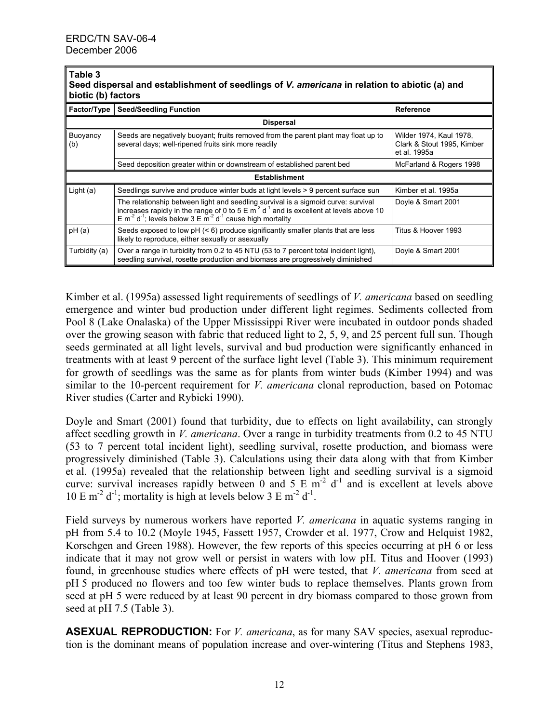#### **Table 3 Seed dispersal and establishment of seedlings of** *V. americana* **in relation to abiotic (a) and biotic (b) factors**

| <b>DIVIIU (D) IQUIUIS</b> |                                                                                                                                                                                                                                                                                                |                                                                       |  |
|---------------------------|------------------------------------------------------------------------------------------------------------------------------------------------------------------------------------------------------------------------------------------------------------------------------------------------|-----------------------------------------------------------------------|--|
| <b>Factor/Type</b>        | <b>Seed/Seedling Function</b>                                                                                                                                                                                                                                                                  | <b>Reference</b>                                                      |  |
| <b>Dispersal</b>          |                                                                                                                                                                                                                                                                                                |                                                                       |  |
| Buoyancy<br>(b)           | Seeds are negatively buoyant; fruits removed from the parent plant may float up to<br>several days; well-ripened fruits sink more readily                                                                                                                                                      | Wilder 1974, Kaul 1978,<br>Clark & Stout 1995, Kimber<br>et al. 1995a |  |
|                           | Seed deposition greater within or downstream of established parent bed                                                                                                                                                                                                                         | McFarland & Rogers 1998                                               |  |
| <b>Establishment</b>      |                                                                                                                                                                                                                                                                                                |                                                                       |  |
| Light $(a)$               | Seedlings survive and produce winter buds at light levels > 9 percent surface sun                                                                                                                                                                                                              | Kimber et al. 1995a                                                   |  |
|                           | The relationship between light and seedling survival is a sigmoid curve: survival<br>increases rapidly in the range of 0 to $5 \text{ E m}^2 d^1$ and is excellent at levels above 10<br>E m <sup>2</sup> d <sup>1</sup> ; levels below 3 E m <sup>2</sup> d <sup>1</sup> cause high mortality | Doyle & Smart 2001                                                    |  |
| pH(a)                     | Seeds exposed to low $pH \leq 6$ ) produce significantly smaller plants that are less<br>likely to reproduce, either sexually or asexually                                                                                                                                                     | Titus & Hoover 1993                                                   |  |
| Turbidity (a)             | Over a range in turbidity from 0.2 to 45 NTU (53 to 7 percent total incident light),<br>seedling survival, rosette production and biomass are progressively diminished                                                                                                                         | Doyle & Smart 2001                                                    |  |

Kimber et al. (1995a) assessed light requirements of seedlings of *V. americana* based on seedling emergence and winter bud production under different light regimes. Sediments collected from Pool 8 (Lake Onalaska) of the Upper Mississippi River were incubated in outdoor ponds shaded over the growing season with fabric that reduced light to 2, 5, 9, and 25 percent full sun. Though seeds germinated at all light levels, survival and bud production were significantly enhanced in treatments with at least 9 percent of the surface light level (Table 3). This minimum requirement for growth of seedlings was the same as for plants from winter buds (Kimber 1994) and was similar to the 10-percent requirement for *V. americana* clonal reproduction, based on Potomac River studies (Carter and Rybicki 1990).

Doyle and Smart (2001) found that turbidity, due to effects on light availability, can strongly affect seedling growth in *V. americana*. Over a range in turbidity treatments from 0.2 to 45 NTU (53 to 7 percent total incident light), seedling survival, rosette production, and biomass were progressively diminished (Table 3). Calculations using their data along with that from Kimber et al. (1995a) revealed that the relationship between light and seedling survival is a sigmoid curve: survival increases rapidly between 0 and 5 E  $\overline{m}^2$  d<sup>-1</sup> and is excellent at levels above 10 E m<sup>-2</sup> d<sup>-1</sup>; mortality is high at levels below 3 E m<sup>-2</sup> d<sup>-1</sup>.

Field surveys by numerous workers have reported *V. americana* in aquatic systems ranging in pH from 5.4 to 10.2 (Moyle 1945, Fassett 1957, Crowder et al. 1977, Crow and Helquist 1982, Korschgen and Green 1988). However, the few reports of this species occurring at pH 6 or less indicate that it may not grow well or persist in waters with low pH. Titus and Hoover (1993) found, in greenhouse studies where effects of pH were tested, that *V. americana* from seed at pH 5 produced no flowers and too few winter buds to replace themselves. Plants grown from seed at pH 5 were reduced by at least 90 percent in dry biomass compared to those grown from seed at pH 7.5 (Table 3).

**ASEXUAL REPRODUCTION:** For *V. americana*, as for many SAV species, asexual reproduction is the dominant means of population increase and over-wintering (Titus and Stephens 1983,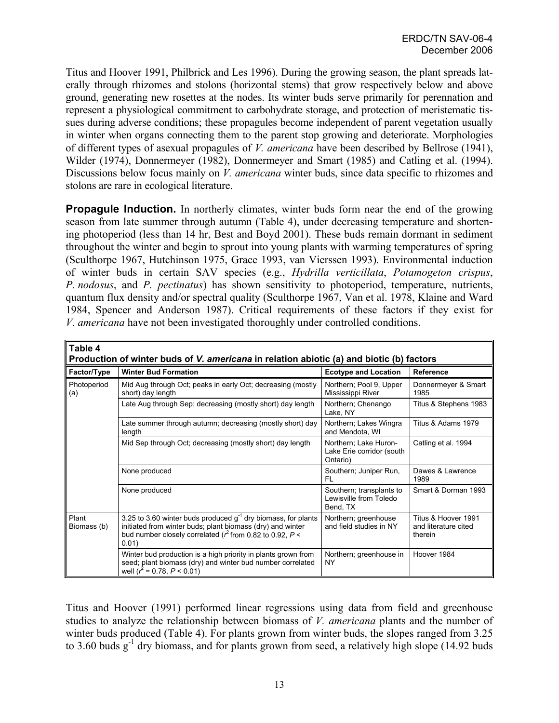Titus and Hoover 1991, Philbrick and Les 1996). During the growing season, the plant spreads laterally through rhizomes and stolons (horizontal stems) that grow respectively below and above ground, generating new rosettes at the nodes. Its winter buds serve primarily for perennation and represent a physiological commitment to carbohydrate storage, and protection of meristematic tissues during adverse conditions; these propagules become independent of parent vegetation usually in winter when organs connecting them to the parent stop growing and deteriorate. Morphologies of different types of asexual propagules of *V. americana* have been described by Bellrose (1941), Wilder (1974), Donnermeyer (1982), Donnermeyer and Smart (1985) and Catling et al. (1994). Discussions below focus mainly on *V. americana* winter buds, since data specific to rhizomes and stolons are rare in ecological literature.

**Propagule Induction.** In northerly climates, winter buds form near the end of the growing season from late summer through autumn (Table 4), under decreasing temperature and shortening photoperiod (less than 14 hr, Best and Boyd 2001). These buds remain dormant in sediment throughout the winter and begin to sprout into young plants with warming temperatures of spring (Sculthorpe 1967, Hutchinson 1975, Grace 1993, van Vierssen 1993). Environmental induction of winter buds in certain SAV species (e.g., *Hydrilla verticillata*, *Potamogeton crispus*, *P. nodosus*, and *P. pectinatus*) has shown sensitivity to photoperiod, temperature, nutrients, quantum flux density and/or spectral quality (Sculthorpe 1967, Van et al. 1978, Klaine and Ward 1984, Spencer and Anderson 1987). Critical requirements of these factors if they exist for *V. americana* have not been investigated thoroughly under controlled conditions.

| ∥Table 4<br>Production of winter buds of V. americana in relation abiotic (a) and biotic (b) factors |                                                                                                                                                                                                             |                                                                |                                                        |
|------------------------------------------------------------------------------------------------------|-------------------------------------------------------------------------------------------------------------------------------------------------------------------------------------------------------------|----------------------------------------------------------------|--------------------------------------------------------|
| Factor/Type                                                                                          | <b>Winter Bud Formation</b>                                                                                                                                                                                 | <b>Ecotype and Location</b>                                    | Reference                                              |
| Photoperiod<br>(a)                                                                                   | Mid Aug through Oct; peaks in early Oct; decreasing (mostly<br>short) day length                                                                                                                            | Northern; Pool 9, Upper<br>Mississippi River                   | Donnermeyer & Smart<br>1985                            |
|                                                                                                      | Late Aug through Sep; decreasing (mostly short) day length                                                                                                                                                  | Northern; Chenango<br>Lake, NY                                 | Titus & Stephens 1983                                  |
|                                                                                                      | Late summer through autumn; decreasing (mostly short) day<br>length                                                                                                                                         | Northern; Lakes Wingra<br>and Mendota, WI                      | Titus & Adams 1979                                     |
|                                                                                                      | Mid Sep through Oct; decreasing (mostly short) day length                                                                                                                                                   | Northern; Lake Huron-<br>Lake Erie corridor (south<br>Ontario) | Catling et al. 1994                                    |
|                                                                                                      | None produced                                                                                                                                                                                               | Southern; Juniper Run,<br>FL                                   | Dawes & Lawrence<br>1989                               |
|                                                                                                      | None produced                                                                                                                                                                                               | Southern; transplants to<br>Lewisville from Toledo<br>Bend, TX | Smart & Dorman 1993                                    |
| Plant<br>Biomass (b)                                                                                 | 3.25 to 3.60 winter buds produced $g^{-1}$ dry biomass, for plants<br>initiated from winter buds; plant biomass (dry) and winter<br>bud number closely correlated ( $r^2$ from 0.82 to 0.92, $P <$<br>0.01) | Northern; greenhouse<br>and field studies in NY                | Titus & Hoover 1991<br>and literature cited<br>therein |
|                                                                                                      | Winter bud production is a high priority in plants grown from<br>seed; plant biomass (dry) and winter bud number correlated<br>well ( $r^2$ = 0.78, $P < 0.01$ )                                            | Northern; greenhouse in<br>NY                                  | Hoover 1984                                            |

Titus and Hoover (1991) performed linear regressions using data from field and greenhouse studies to analyze the relationship between biomass of *V. americana* plants and the number of winter buds produced (Table 4). For plants grown from winter buds, the slopes ranged from 3.25 to 3.60 buds  $g^{-1}$  dry biomass, and for plants grown from seed, a relatively high slope (14.92 buds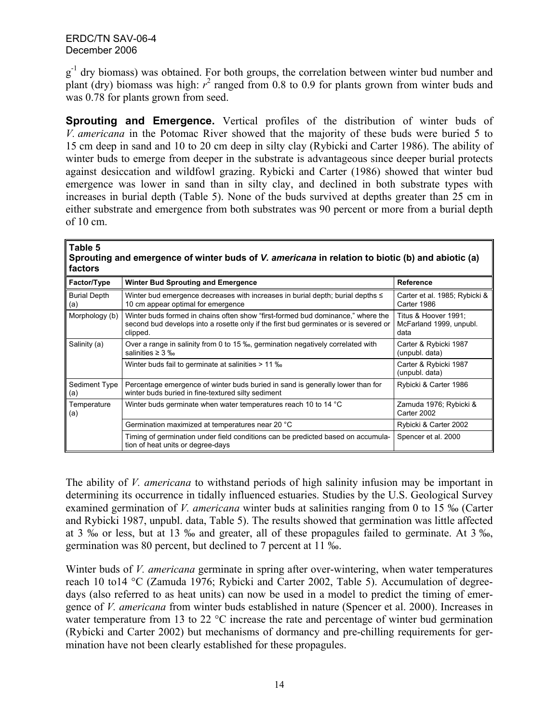$g<sup>-1</sup>$  dry biomass) was obtained. For both groups, the correlation between winter bud number and plant (dry) biomass was high:  $r^2$  ranged from 0.8 to 0.9 for plants grown from winter buds and was 0.78 for plants grown from seed.

**Sprouting and Emergence.** Vertical profiles of the distribution of winter buds of *V. americana* in the Potomac River showed that the majority of these buds were buried 5 to 15 cm deep in sand and 10 to 20 cm deep in silty clay (Rybicki and Carter 1986). The ability of winter buds to emerge from deeper in the substrate is advantageous since deeper burial protects against desiccation and wildfowl grazing. Rybicki and Carter (1986) showed that winter bud emergence was lower in sand than in silty clay, and declined in both substrate types with increases in burial depth (Table 5). None of the buds survived at depths greater than 25 cm in either substrate and emergence from both substrates was 90 percent or more from a burial depth of 10 cm.

#### **Table 5**

**Sprouting and emergence of winter buds of** *V. americana* **in relation to biotic (b) and abiotic (a) factors**

| Factor/Type                | <b>Winter Bud Sprouting and Emergence</b>                                                                                                                                           | Reference                                               |
|----------------------------|-------------------------------------------------------------------------------------------------------------------------------------------------------------------------------------|---------------------------------------------------------|
| <b>Burial Depth</b><br>(a) | Winter bud emergence decreases with increases in burial depth; burial depths $\leq$<br>10 cm appear optimal for emergence                                                           | Carter et al. 1985; Rybicki &<br>Carter 1986            |
| Morphology (b)             | Winter buds formed in chains often show "first-formed bud dominance," where the<br>second bud develops into a rosette only if the first bud germinates or is severed or<br>clipped. | Titus & Hoover 1991;<br>McFarland 1999, unpubl.<br>data |
| Salinity (a)               | Over a range in salinity from 0 to 15 ‰, germination negatively correlated with<br>salinities $\geq 3$ ‰                                                                            | Carter & Rybicki 1987<br>(unpubl. data)                 |
|                            | Winter buds fail to germinate at salinities > 11 %                                                                                                                                  | Carter & Rybicki 1987<br>(unpubl. data)                 |
| Sediment Type<br>(a)       | Percentage emergence of winter buds buried in sand is generally lower than for<br>winter buds buried in fine-textured silty sediment                                                | Rybicki & Carter 1986                                   |
| Temperature<br>(a)         | Winter buds germinate when water temperatures reach 10 to 14 °C                                                                                                                     | Zamuda 1976; Rybicki &<br>Carter 2002                   |
|                            | Germination maximized at temperatures near 20 °C                                                                                                                                    | Rybicki & Carter 2002                                   |
|                            | Timing of germination under field conditions can be predicted based on accumula-<br>tion of heat units or degree-days                                                               | Spencer et al. 2000                                     |

The ability of *V. americana* to withstand periods of high salinity infusion may be important in determining its occurrence in tidally influenced estuaries. Studies by the U.S. Geological Survey examined germination of *V. americana* winter buds at salinities ranging from 0 to 15 ‰ (Carter and Rybicki 1987, unpubl. data, Table 5). The results showed that germination was little affected at 3 ‰ or less, but at 13 ‰ and greater, all of these propagules failed to germinate. At 3 ‰, germination was 80 percent, but declined to 7 percent at 11 ‰.

Winter buds of *V. americana* germinate in spring after over-wintering, when water temperatures reach 10 to14 °C (Zamuda 1976; Rybicki and Carter 2002, Table 5). Accumulation of degreedays (also referred to as heat units) can now be used in a model to predict the timing of emergence of *V. americana* from winter buds established in nature (Spencer et al. 2000). Increases in water temperature from 13 to 22 °C increase the rate and percentage of winter bud germination (Rybicki and Carter 2002) but mechanisms of dormancy and pre-chilling requirements for germination have not been clearly established for these propagules.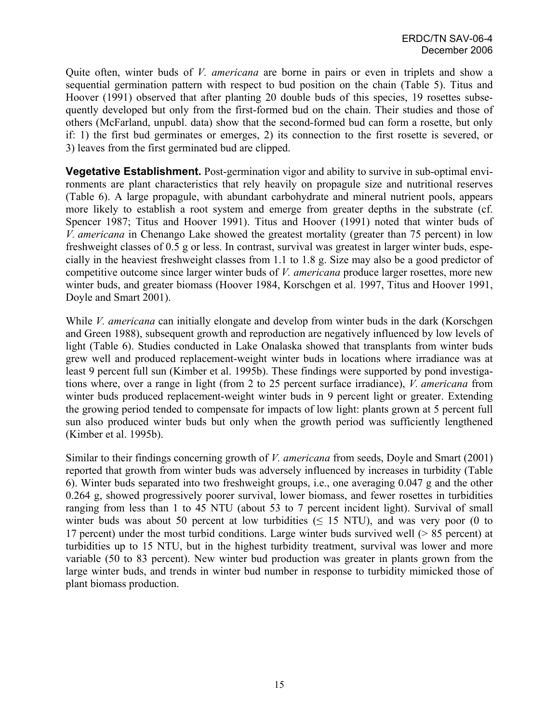Quite often, winter buds of *V. americana* are borne in pairs or even in triplets and show a sequential germination pattern with respect to bud position on the chain (Table 5). Titus and Hoover (1991) observed that after planting 20 double buds of this species, 19 rosettes subsequently developed but only from the first-formed bud on the chain. Their studies and those of others (McFarland, unpubl. data) show that the second-formed bud can form a rosette, but only if: 1) the first bud germinates or emerges, 2) its connection to the first rosette is severed, or 3) leaves from the first germinated bud are clipped.

**Vegetative Establishment.** Post-germination vigor and ability to survive in sub-optimal environments are plant characteristics that rely heavily on propagule size and nutritional reserves (Table 6). A large propagule, with abundant carbohydrate and mineral nutrient pools, appears more likely to establish a root system and emerge from greater depths in the substrate (cf. Spencer 1987; Titus and Hoover 1991). Titus and Hoover (1991) noted that winter buds of *V. americana* in Chenango Lake showed the greatest mortality (greater than 75 percent) in low freshweight classes of 0.5 g or less. In contrast, survival was greatest in larger winter buds, especially in the heaviest freshweight classes from 1.1 to 1.8 g. Size may also be a good predictor of competitive outcome since larger winter buds of *V. americana* produce larger rosettes, more new winter buds, and greater biomass (Hoover 1984, Korschgen et al. 1997, Titus and Hoover 1991, Doyle and Smart 2001).

While *V. americana* can initially elongate and develop from winter buds in the dark (Korschgen and Green 1988), subsequent growth and reproduction are negatively influenced by low levels of light (Table 6). Studies conducted in Lake Onalaska showed that transplants from winter buds grew well and produced replacement-weight winter buds in locations where irradiance was at least 9 percent full sun (Kimber et al. 1995b). These findings were supported by pond investigations where, over a range in light (from 2 to 25 percent surface irradiance), *V. americana* from winter buds produced replacement-weight winter buds in 9 percent light or greater. Extending the growing period tended to compensate for impacts of low light: plants grown at 5 percent full sun also produced winter buds but only when the growth period was sufficiently lengthened (Kimber et al. 1995b).

Similar to their findings concerning growth of *V. americana* from seeds, Doyle and Smart (2001) reported that growth from winter buds was adversely influenced by increases in turbidity (Table 6). Winter buds separated into two freshweight groups, i.e., one averaging 0.047 g and the other 0.264 g, showed progressively poorer survival, lower biomass, and fewer rosettes in turbidities ranging from less than 1 to 45 NTU (about 53 to 7 percent incident light). Survival of small winter buds was about 50 percent at low turbidities ( $\leq$  15 NTU), and was very poor (0 to 17 percent) under the most turbid conditions. Large winter buds survived well (> 85 percent) at turbidities up to 15 NTU, but in the highest turbidity treatment, survival was lower and more variable (50 to 83 percent). New winter bud production was greater in plants grown from the large winter buds, and trends in winter bud number in response to turbidity mimicked those of plant biomass production.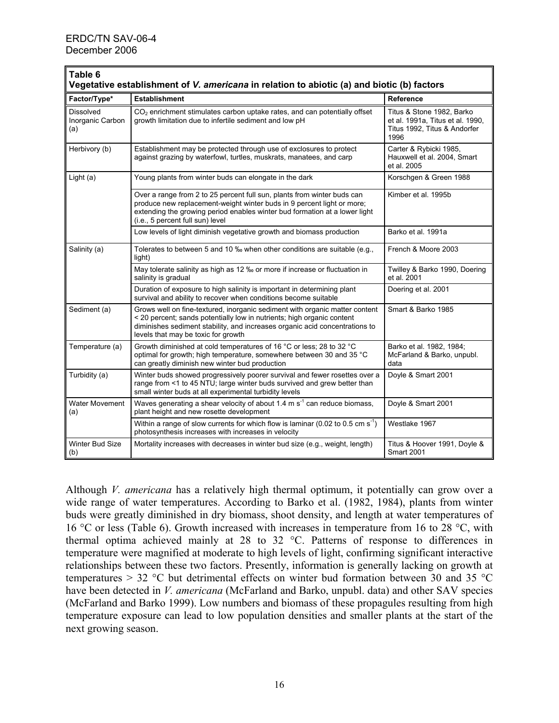| ∥Table 6<br>Vegetative establishment of V. americana in relation to abiotic (a) and biotic (b) factors |                                                                                                                                                                                                                                                                             |                                                                                                       |  |
|--------------------------------------------------------------------------------------------------------|-----------------------------------------------------------------------------------------------------------------------------------------------------------------------------------------------------------------------------------------------------------------------------|-------------------------------------------------------------------------------------------------------|--|
| Factor/Type*                                                                                           | <b>Establishment</b>                                                                                                                                                                                                                                                        | Reference                                                                                             |  |
| <b>Dissolved</b><br>Inorganic Carbon<br>(a)                                                            | CO <sub>2</sub> enrichment stimulates carbon uptake rates, and can potentially offset<br>growth limitation due to infertile sediment and low pH                                                                                                                             | Titus & Stone 1982, Barko<br>et al. 1991a, Titus et al. 1990,<br>Titus 1992, Titus & Andorfer<br>1996 |  |
| Herbivory (b)                                                                                          | Establishment may be protected through use of exclosures to protect<br>against grazing by waterfowl, turtles, muskrats, manatees, and carp                                                                                                                                  | Carter & Rybicki 1985,<br>Hauxwell et al. 2004, Smart<br>et al. 2005                                  |  |
| Light $(a)$                                                                                            | Young plants from winter buds can elongate in the dark                                                                                                                                                                                                                      | Korschgen & Green 1988                                                                                |  |
|                                                                                                        | Over a range from 2 to 25 percent full sun, plants from winter buds can<br>produce new replacement-weight winter buds in 9 percent light or more;<br>extending the growing period enables winter bud formation at a lower light<br>(i.e., 5 percent full sun) level         | Kimber et al. 1995b                                                                                   |  |
|                                                                                                        | Low levels of light diminish vegetative growth and biomass production                                                                                                                                                                                                       | Barko et al. 1991a                                                                                    |  |
| Salinity (a)                                                                                           | Tolerates to between 5 and 10 ‰ when other conditions are suitable (e.g.,<br>light)                                                                                                                                                                                         | French & Moore 2003                                                                                   |  |
|                                                                                                        | May tolerate salinity as high as 12 ‰ or more if increase or fluctuation in<br>salinity is gradual                                                                                                                                                                          | Twilley & Barko 1990, Doering<br>et al. 2001                                                          |  |
|                                                                                                        | Duration of exposure to high salinity is important in determining plant<br>survival and ability to recover when conditions become suitable                                                                                                                                  | Doering et al. 2001                                                                                   |  |
| Sediment (a)                                                                                           | Grows well on fine-textured, inorganic sediment with organic matter content<br>< 20 percent; sands potentially low in nutrients; high organic content<br>diminishes sediment stability, and increases organic acid concentrations to<br>levels that may be toxic for growth | Smart & Barko 1985                                                                                    |  |
| Temperature (a)                                                                                        | Growth diminished at cold temperatures of 16 °C or less; 28 to 32 °C<br>optimal for growth; high temperature, somewhere between 30 and 35 °C<br>can greatly diminish new winter bud production                                                                              | Barko et al. 1982, 1984;<br>McFarland & Barko, unpubl.<br>data                                        |  |
| Turbidity (a)                                                                                          | Winter buds showed progressively poorer survival and fewer rosettes over a<br>range from <1 to 45 NTU; large winter buds survived and grew better than<br>small winter buds at all experimental turbidity levels                                                            | Doyle & Smart 2001                                                                                    |  |
| <b>Water Movement</b><br>(a)                                                                           | Waves generating a shear velocity of about 1.4 m s <sup>-1</sup> can reduce biomass,<br>plant height and new rosette development                                                                                                                                            | Doyle & Smart 2001                                                                                    |  |
|                                                                                                        | Within a range of slow currents for which flow is laminar (0.02 to 0.5 cm $s^{-1}$ )<br>photosynthesis increases with increases in velocity                                                                                                                                 | Westlake 1967                                                                                         |  |
| <b>Winter Bud Size</b><br>(b)                                                                          | Mortality increases with decreases in winter bud size (e.g., weight, length)                                                                                                                                                                                                | Titus & Hoover 1991, Doyle &<br><b>Smart 2001</b>                                                     |  |

Although *V. americana* has a relatively high thermal optimum, it potentially can grow over a wide range of water temperatures. According to Barko et al. (1982, 1984), plants from winter buds were greatly diminished in dry biomass, shoot density, and length at water temperatures of 16 °C or less (Table 6). Growth increased with increases in temperature from 16 to 28 °C, with thermal optima achieved mainly at 28 to 32 °C. Patterns of response to differences in temperature were magnified at moderate to high levels of light, confirming significant interactive relationships between these two factors. Presently, information is generally lacking on growth at temperatures  $> 32$  °C but detrimental effects on winter bud formation between 30 and 35 °C have been detected in *V. americana* (McFarland and Barko, unpubl. data) and other SAV species (McFarland and Barko 1999). Low numbers and biomass of these propagules resulting from high temperature exposure can lead to low population densities and smaller plants at the start of the next growing season.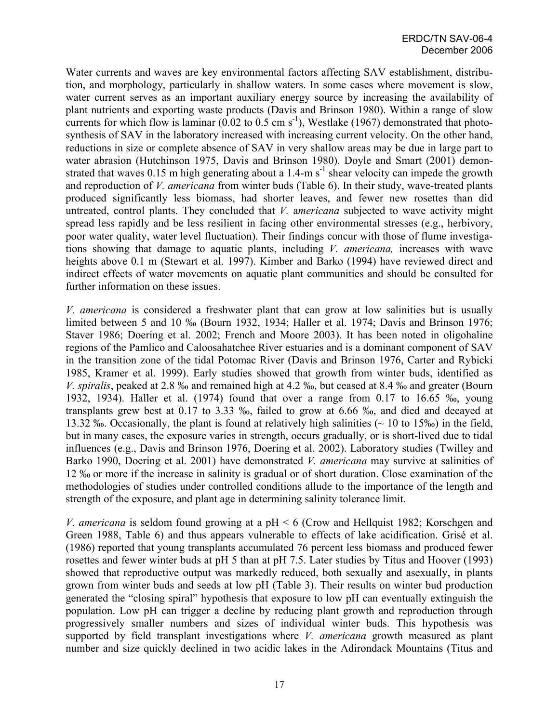Water currents and waves are key environmental factors affecting SAV establishment, distribution, and morphology, particularly in shallow waters. In some cases where movement is slow, water current serves as an important auxiliary energy source by increasing the availability of plant nutrients and exporting waste products (Davis and Brinson 1980). Within a range of slow currents for which flow is laminar (0.02 to 0.5 cm s<sup>-1</sup>), Westlake (1967) demonstrated that photosynthesis of SAV in the laboratory increased with increasing current velocity. On the other hand, reductions in size or complete absence of SAV in very shallow areas may be due in large part to water abrasion (Hutchinson 1975, Davis and Brinson 1980). Doyle and Smart (2001) demonstrated that waves  $0.15$  m high generating about a 1.4-m s<sup>-1</sup> shear velocity can impede the growth and reproduction of *V. americana* from winter buds (Table 6). In their study, wave-treated plants produced significantly less biomass, had shorter leaves, and fewer new rosettes than did untreated, control plants. They concluded that *V.* a*mericana* subjected to wave activity might spread less rapidly and be less resilient in facing other environmental stresses (e.g., herbivory, poor water quality, water level fluctuation). Their findings concur with those of flume investigations showing that damage to aquatic plants, including *V. americana,* increases with wave heights above 0.1 m (Stewart et al. 1997). Kimber and Barko (1994) have reviewed direct and indirect effects of water movements on aquatic plant communities and should be consulted for further information on these issues.

*V. americana* is considered a freshwater plant that can grow at low salinities but is usually limited between 5 and 10 ‰ (Bourn 1932, 1934; Haller et al. 1974; Davis and Brinson 1976; Staver 1986; Doering et al. 2002; French and Moore 2003). It has been noted in oligohaline regions of the Pamlico and Caloosahatchee River estuaries and is a dominant component of SAV in the transition zone of the tidal Potomac River (Davis and Brinson 1976, Carter and Rybicki 1985, Kramer et al. 1999). Early studies showed that growth from winter buds, identified as *V. spiralis*, peaked at 2.8 ‰ and remained high at 4.2 ‰, but ceased at 8.4 ‰ and greater (Bourn 1932, 1934). Haller et al. (1974) found that over a range from 0.17 to 16.65 ‰, young transplants grew best at 0.17 to 3.33 ‰, failed to grow at 6.66 ‰, and died and decayed at 13.32 ‰. Occasionally, the plant is found at relatively high salinities (~ 10 to 15‰) in the field, but in many cases, the exposure varies in strength, occurs gradually, or is short-lived due to tidal influences (e.g., Davis and Brinson 1976, Doering et al. 2002). Laboratory studies (Twilley and Barko 1990, Doering et al. 2001) have demonstrated *V. americana* may survive at salinities of 12 ‰ or more if the increase in salinity is gradual or of short duration. Close examination of the methodologies of studies under controlled conditions allude to the importance of the length and strength of the exposure, and plant age in determining salinity tolerance limit.

*V. americana* is seldom found growing at a pH < 6 (Crow and Hellquist 1982; Korschgen and Green 1988, Table 6) and thus appears vulnerable to effects of lake acidification. Grisé et al. (1986) reported that young transplants accumulated 76 percent less biomass and produced fewer rosettes and fewer winter buds at pH 5 than at pH 7.5. Later studies by Titus and Hoover (1993) showed that reproductive output was markedly reduced, both sexually and asexually, in plants grown from winter buds and seeds at low pH (Table 3). Their results on winter bud production generated the "closing spiral" hypothesis that exposure to low pH can eventually extinguish the population. Low pH can trigger a decline by reducing plant growth and reproduction through progressively smaller numbers and sizes of individual winter buds. This hypothesis was supported by field transplant investigations where *V. americana* growth measured as plant number and size quickly declined in two acidic lakes in the Adirondack Mountains (Titus and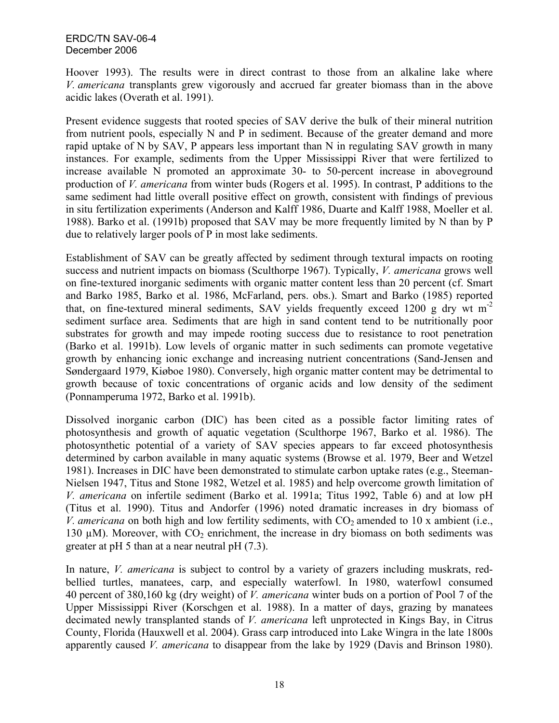Hoover 1993). The results were in direct contrast to those from an alkaline lake where *V. americana* transplants grew vigorously and accrued far greater biomass than in the above acidic lakes (Overath et al. 1991).

Present evidence suggests that rooted species of SAV derive the bulk of their mineral nutrition from nutrient pools, especially N and P in sediment. Because of the greater demand and more rapid uptake of N by SAV, P appears less important than N in regulating SAV growth in many instances. For example, sediments from the Upper Mississippi River that were fertilized to increase available N promoted an approximate 30- to 50-percent increase in aboveground production of *V. americana* from winter buds (Rogers et al. 1995). In contrast, P additions to the same sediment had little overall positive effect on growth, consistent with findings of previous in situ fertilization experiments (Anderson and Kalff 1986, Duarte and Kalff 1988, Moeller et al. 1988). Barko et al. (1991b) proposed that SAV may be more frequently limited by N than by P due to relatively larger pools of P in most lake sediments.

Establishment of SAV can be greatly affected by sediment through textural impacts on rooting success and nutrient impacts on biomass (Sculthorpe 1967). Typically, *V. americana* grows well on fine-textured inorganic sediments with organic matter content less than 20 percent (cf. Smart and Barko 1985, Barko et al. 1986, McFarland, pers. obs.). Smart and Barko (1985) reported that, on fine-textured mineral sediments, SAV yields frequently exceed 1200 g dry wt m-2 sediment surface area. Sediments that are high in sand content tend to be nutritionally poor substrates for growth and may impede rooting success due to resistance to root penetration (Barko et al. 1991b). Low levels of organic matter in such sediments can promote vegetative growth by enhancing ionic exchange and increasing nutrient concentrations (Sand-Jensen and Søndergaard 1979, Kiøboe 1980). Conversely, high organic matter content may be detrimental to growth because of toxic concentrations of organic acids and low density of the sediment (Ponnamperuma 1972, Barko et al. 1991b).

Dissolved inorganic carbon (DIC) has been cited as a possible factor limiting rates of photosynthesis and growth of aquatic vegetation (Sculthorpe 1967, Barko et al. 1986). The photosynthetic potential of a variety of SAV species appears to far exceed photosynthesis determined by carbon available in many aquatic systems (Browse et al. 1979, Beer and Wetzel 1981). Increases in DIC have been demonstrated to stimulate carbon uptake rates (e.g., Steeman-Nielsen 1947, Titus and Stone 1982, Wetzel et al. 1985) and help overcome growth limitation of *V. americana* on infertile sediment (Barko et al. 1991a; Titus 1992, Table 6) and at low pH (Titus et al. 1990). Titus and Andorfer (1996) noted dramatic increases in dry biomass of *V. americana* on both high and low fertility sediments, with  $CO<sub>2</sub>$  amended to 10 x ambient (i.e., 130  $\mu$ M). Moreover, with CO<sub>2</sub> enrichment, the increase in dry biomass on both sediments was greater at pH 5 than at a near neutral pH (7.3).

In nature, *V. americana* is subject to control by a variety of grazers including muskrats, redbellied turtles, manatees, carp, and especially waterfowl. In 1980, waterfowl consumed 40 percent of 380,160 kg (dry weight) of *V. americana* winter buds on a portion of Pool 7 of the Upper Mississippi River (Korschgen et al. 1988). In a matter of days, grazing by manatees decimated newly transplanted stands of *V. americana* left unprotected in Kings Bay, in Citrus County, Florida (Hauxwell et al. 2004). Grass carp introduced into Lake Wingra in the late 1800s apparently caused *V. americana* to disappear from the lake by 1929 (Davis and Brinson 1980).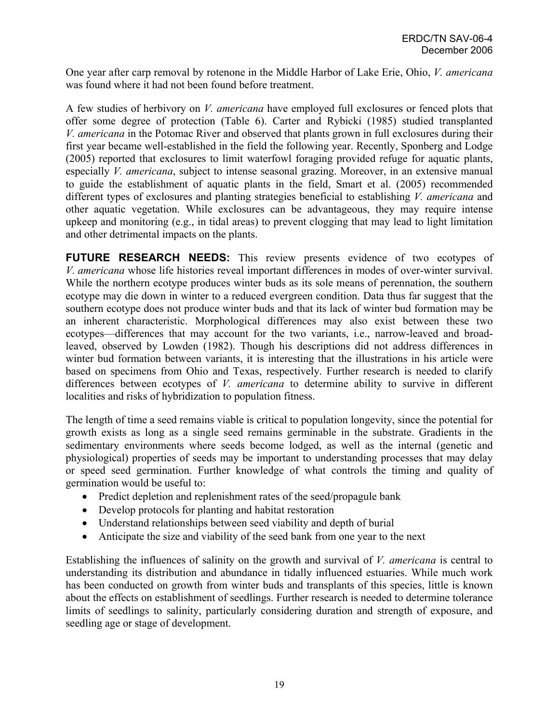One year after carp removal by rotenone in the Middle Harbor of Lake Erie, Ohio, *V. americana* was found where it had not been found before treatment.

A few studies of herbivory on *V. americana* have employed full exclosures or fenced plots that offer some degree of protection (Table 6). Carter and Rybicki (1985) studied transplanted *V. americana* in the Potomac River and observed that plants grown in full exclosures during their first year became well-established in the field the following year. Recently, Sponberg and Lodge (2005) reported that exclosures to limit waterfowl foraging provided refuge for aquatic plants, especially *V. americana*, subject to intense seasonal grazing. Moreover, in an extensive manual to guide the establishment of aquatic plants in the field, Smart et al. (2005) recommended different types of exclosures and planting strategies beneficial to establishing *V. americana* and other aquatic vegetation. While exclosures can be advantageous, they may require intense upkeep and monitoring (e.g., in tidal areas) to prevent clogging that may lead to light limitation and other detrimental impacts on the plants.

**FUTURE RESEARCH NEEDS:** This review presents evidence of two ecotypes of *V. americana* whose life histories reveal important differences in modes of over-winter survival. While the northern ecotype produces winter buds as its sole means of perennation, the southern ecotype may die down in winter to a reduced evergreen condition. Data thus far suggest that the southern ecotype does not produce winter buds and that its lack of winter bud formation may be an inherent characteristic. Morphological differences may also exist between these two ecotypes—differences that may account for the two variants, i.e., narrow-leaved and broadleaved, observed by Lowden (1982). Though his descriptions did not address differences in winter bud formation between variants, it is interesting that the illustrations in his article were based on specimens from Ohio and Texas, respectively. Further research is needed to clarify differences between ecotypes of *V. americana* to determine ability to survive in different localities and risks of hybridization to population fitness.

The length of time a seed remains viable is critical to population longevity, since the potential for growth exists as long as a single seed remains germinable in the substrate. Gradients in the sedimentary environments where seeds become lodged, as well as the internal (genetic and physiological) properties of seeds may be important to understanding processes that may delay or speed seed germination. Further knowledge of what controls the timing and quality of germination would be useful to:

- Predict depletion and replenishment rates of the seed/propagule bank
- Develop protocols for planting and habitat restoration
- Understand relationships between seed viability and depth of burial
- Anticipate the size and viability of the seed bank from one year to the next

Establishing the influences of salinity on the growth and survival of *V. americana* is central to understanding its distribution and abundance in tidally influenced estuaries. While much work has been conducted on growth from winter buds and transplants of this species, little is known about the effects on establishment of seedlings. Further research is needed to determine tolerance limits of seedlings to salinity, particularly considering duration and strength of exposure, and seedling age or stage of development.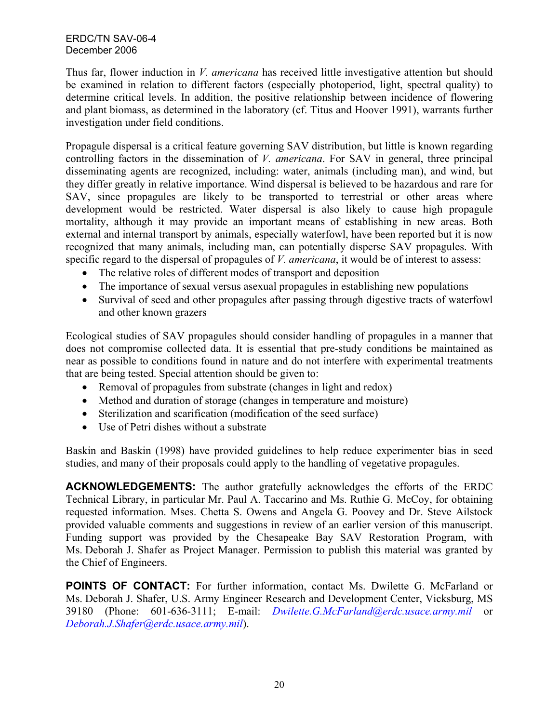Thus far, flower induction in *V. americana* has received little investigative attention but should be examined in relation to different factors (especially photoperiod, light, spectral quality) to determine critical levels. In addition, the positive relationship between incidence of flowering and plant biomass, as determined in the laboratory (cf. Titus and Hoover 1991), warrants further investigation under field conditions.

Propagule dispersal is a critical feature governing SAV distribution, but little is known regarding controlling factors in the dissemination of *V. americana*. For SAV in general, three principal disseminating agents are recognized, including: water, animals (including man), and wind, but they differ greatly in relative importance. Wind dispersal is believed to be hazardous and rare for SAV, since propagules are likely to be transported to terrestrial or other areas where development would be restricted. Water dispersal is also likely to cause high propagule mortality, although it may provide an important means of establishing in new areas. Both external and internal transport by animals, especially waterfowl, have been reported but it is now recognized that many animals, including man, can potentially disperse SAV propagules. With specific regard to the dispersal of propagules of *V. americana*, it would be of interest to assess:

- The relative roles of different modes of transport and deposition
- The importance of sexual versus asexual propagules in establishing new populations
- Survival of seed and other propagules after passing through digestive tracts of waterfowl and other known grazers

Ecological studies of SAV propagules should consider handling of propagules in a manner that does not compromise collected data. It is essential that pre-study conditions be maintained as near as possible to conditions found in nature and do not interfere with experimental treatments that are being tested. Special attention should be given to:

- Removal of propagules from substrate (changes in light and redox)
- Method and duration of storage (changes in temperature and moisture)
- Sterilization and scarification (modification of the seed surface)
- Use of Petri dishes without a substrate

Baskin and Baskin (1998) have provided guidelines to help reduce experimenter bias in seed studies, and many of their proposals could apply to the handling of vegetative propagules.

**ACKNOWLEDGEMENTS:** The author gratefully acknowledges the efforts of the ERDC Technical Library, in particular Mr. Paul A. Taccarino and Ms. Ruthie G. McCoy, for obtaining requested information. Mses. Chetta S. Owens and Angela G. Poovey and Dr. Steve Ailstock provided valuable comments and suggestions in review of an earlier version of this manuscript. Funding support was provided by the Chesapeake Bay SAV Restoration Program, with Ms. Deborah J. Shafer as Project Manager. Permission to publish this material was granted by the Chief of Engineers.

**POINTS OF CONTACT:** For further information, contact Ms. Dwilette G. McFarland or Ms. Deborah J. Shafer, U.S. Army Engineer Research and Development Center, Vicksburg, MS 39180 (Phone: 601-636-3111; E-mail: *Dwilette.G.McFarland@erdc.usace.army.mil* or *[Deborah.J.Shafer@erdc.usace.army.mil](mailto:Deborah.J.Shafer@erdc.usace.army.mil)*).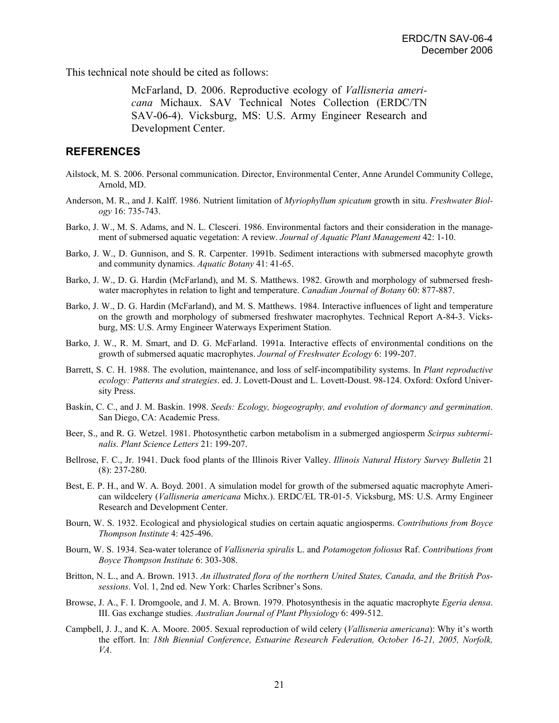This technical note should be cited as follows:

McFarland, D. 2006. Reproductive ecology of *Vallisneria americana* Michaux. SAV Technical Notes Collection (ERDC/TN SAV-06-4). Vicksburg, MS: U.S. Army Engineer Research and Development Center.

## **REFERENCES**

- Ailstock, M. S. 2006. Personal communication. Director, Environmental Center, Anne Arundel Community College, Arnold, MD.
- Anderson, M. R., and J. Kalff. 1986. Nutrient limitation of *Myriophyllum spicatum* growth in situ. *Freshwater Biology* 16: 735-743.
- Barko, J. W., M. S. Adams, and N. L. Clesceri. 1986. Environmental factors and their consideration in the management of submersed aquatic vegetation: A review. *Journal of Aquatic Plant Management* 42: 1-10.
- Barko, J. W., D. Gunnison, and S. R. Carpenter. 1991b. Sediment interactions with submersed macophyte growth and community dynamics. *Aquatic Botany* 41: 41-65.
- Barko, J. W., D. G. Hardin (McFarland), and M. S. Matthews. 1982. Growth and morphology of submersed freshwater macrophytes in relation to light and temperature. *Canadian Journal of Botany* 60: 877-887.
- Barko, J. W., D. G. Hardin (McFarland), and M. S. Matthews. 1984. Interactive influences of light and temperature on the growth and morphology of submersed freshwater macrophytes. Technical Report A-84-3. Vicksburg, MS: U.S. Army Engineer Waterways Experiment Station.
- Barko, J. W., R. M. Smart, and D. G. McFarland. 1991a. Interactive effects of environmental conditions on the growth of submersed aquatic macrophytes. *Journal of Freshwater Ecology* 6: 199-207.
- Barrett, S. C. H. 1988. The evolution, maintenance, and loss of self-incompatibility systems. In *Plant reproductive ecology: Patterns and strategies*. ed. J. Lovett-Doust and L. Lovett-Doust. 98-124. Oxford: Oxford University Press.
- Baskin, C. C., and J. M. Baskin. 1998. *Seeds: Ecology, biogeography, and evolution of dormancy and germination*. San Diego, CA: Academic Press.
- Beer, S., and R. G. Wetzel. 1981. Photosynthetic carbon metabolism in a submerged angiosperm *Scirpus subterminalis. Plant Science Letters* 21: 199-207.
- Bellrose, F. C., Jr. 1941. Duck food plants of the Illinois River Valley. *Illinois Natural History Survey Bulletin* 21 (8): 237-280.
- Best, E. P. H., and W. A. Boyd. 2001. A simulation model for growth of the submersed aquatic macrophyte American wildcelery (*Vallisneria americana* Michx.). ERDC/EL TR-01-5. Vicksburg, MS: U.S. Army Engineer Research and Development Center.
- Bourn, W. S. 1932. Ecological and physiological studies on certain aquatic angiosperms. *Contributions from Boyce Thompson Institute* 4: 425-496.
- Bourn, W. S. 1934. Sea-water tolerance of *Vallisneria spiralis* L. and *Potamogeton foliosus* Raf. *Contributions from Boyce Thompson Institute* 6: 303-308.
- Britton, N. L., and A. Brown. 1913. *An illustrated flora of the northern United States, Canada, and the British Possessions*. Vol. 1, 2nd ed. New York: Charles Scribner's Sons.
- Browse, J. A., F. I. Dromgoole, and J. M. A. Brown. 1979. Photosynthesis in the aquatic macrophyte *Egeria densa*. III. Gas exchange studies. *Australian Journal of Plant Physiology* 6: 499-512.
- Campbell, J. J., and K. A. Moore. 2005. Sexual reproduction of wild celery (*Vallisneria americana*): Why it's worth the effort. In: *18th Biennial Conference, Estuarine Research Federation, October 16-21, 2005, Norfolk, VA*.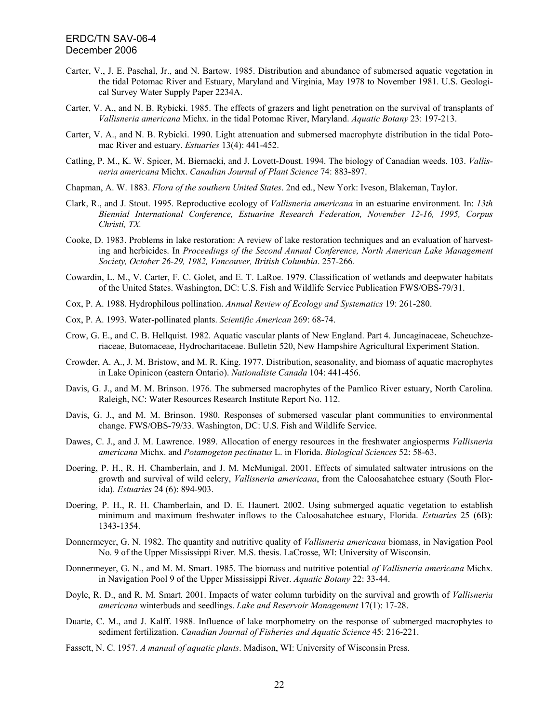- Carter, V., J. E. Paschal, Jr., and N. Bartow. 1985. Distribution and abundance of submersed aquatic vegetation in the tidal Potomac River and Estuary, Maryland and Virginia, May 1978 to November 1981. U.S. Geological Survey Water Supply Paper 2234A.
- Carter, V. A., and N. B. Rybicki. 1985. The effects of grazers and light penetration on the survival of transplants of *Vallisneria americana* Michx. in the tidal Potomac River, Maryland. *Aquatic Botany* 23: 197-213.
- Carter, V. A., and N. B. Rybicki. 1990. Light attenuation and submersed macrophyte distribution in the tidal Potomac River and estuary. *Estuaries* 13(4): 441-452.
- Catling, P. M., K. W. Spicer, M. Biernacki, and J. Lovett-Doust. 1994. The biology of Canadian weeds. 103. *Vallisneria americana* Michx. *Canadian Journal of Plant Science* 74: 883-897.
- Chapman, A. W. 1883. *Flora of the southern United States*. 2nd ed., New York: Iveson, Blakeman, Taylor.
- Clark, R., and J. Stout. 1995. Reproductive ecology of *Vallisneria americana* in an estuarine environment. In: *13th Biennial International Conference, Estuarine Research Federation, November 12-16, 1995, Corpus Christi, TX.*
- Cooke, D. 1983. Problems in lake restoration: A review of lake restoration techniques and an evaluation of harvesting and herbicides. In *Proceedings of the Second Annual Conference, North American Lake Management Society, October 26-29, 1982, Vancouver, British Columbia*. 257-266.
- Cowardin, L. M., V. Carter, F. C. Golet, and E. T. LaRoe. 1979. Classification of wetlands and deepwater habitats of the United States. Washington, DC: U.S. Fish and Wildlife Service Publication FWS/OBS-79/31.
- Cox, P. A. 1988. Hydrophilous pollination. *Annual Review of Ecology and Systematics* 19: 261-280.
- Cox, P. A. 1993. Water-pollinated plants. *Scientific American* 269: 68-74.
- Crow, G. E., and C. B. Hellquist. 1982. Aquatic vascular plants of New England. Part 4. Juncaginaceae, Scheuchzeriaceae, Butomaceae, Hydrocharitaceae. Bulletin 520, New Hampshire Agricultural Experiment Station.
- Crowder, A. A., J. M. Bristow, and M. R. King. 1977. Distribution, seasonality, and biomass of aquatic macrophytes in Lake Opinicon (eastern Ontario). *Nationaliste Canada* 104: 441-456.
- Davis, G. J., and M. M. Brinson. 1976. The submersed macrophytes of the Pamlico River estuary, North Carolina. Raleigh, NC: Water Resources Research Institute Report No. 112.
- Davis, G. J., and M. M. Brinson. 1980. Responses of submersed vascular plant communities to environmental change. FWS/OBS-79/33. Washington, DC: U.S. Fish and Wildlife Service.
- Dawes, C. J., and J. M. Lawrence. 1989. Allocation of energy resources in the freshwater angiosperms *Vallisneria americana* Michx. and *Potamogeton pectinatus* L. in Florida. *Biological Sciences* 52: 58-63.
- Doering, P. H., R. H. Chamberlain, and J. M. McMunigal. 2001. Effects of simulated saltwater intrusions on the growth and survival of wild celery, *Vallisneria americana*, from the Caloosahatchee estuary (South Florida). *Estuaries* 24 (6): 894-903.
- Doering, P. H., R. H. Chamberlain, and D. E. Haunert. 2002. Using submerged aquatic vegetation to establish minimum and maximum freshwater inflows to the Caloosahatchee estuary, Florida. *Estuaries* 25 (6B): 1343-1354.
- Donnermeyer, G. N. 1982. The quantity and nutritive quality of *Vallisneria americana* biomass, in Navigation Pool No. 9 of the Upper Mississippi River. M.S. thesis. LaCrosse, WI: University of Wisconsin.
- Donnermeyer, G. N., and M. M. Smart. 1985. The biomass and nutritive potential *of Vallisneria americana* Michx. in Navigation Pool 9 of the Upper Mississippi River. *Aquatic Botany* 22: 33-44.
- Doyle, R. D., and R. M. Smart. 2001. Impacts of water column turbidity on the survival and growth of *Vallisneria americana* winterbuds and seedlings. *Lake and Reservoir Management* 17(1): 17-28.
- Duarte, C. M., and J. Kalff. 1988. Influence of lake morphometry on the response of submerged macrophytes to sediment fertilization. *Canadian Journal of Fisheries and Aquatic Science* 45: 216-221.
- Fassett, N. C. 1957. *A manual of aquatic plants*. Madison, WI: University of Wisconsin Press.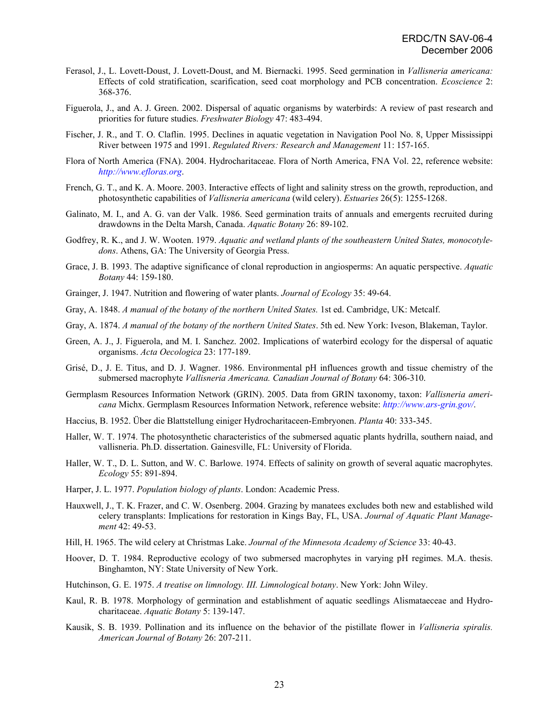- Ferasol, J., L. Lovett-Doust, J. Lovett-Doust, and M. Biernacki. 1995. Seed germination in *Vallisneria americana:*  Effects of cold stratification, scarification, seed coat morphology and PCB concentration. *Ecoscience* 2: 368-376.
- Figuerola, J., and A. J. Green. 2002. Dispersal of aquatic organisms by waterbirds: A review of past research and priorities for future studies. *Freshwater Biology* 47: 483-494.
- Fischer, J. R., and T. O. Claflin. 1995. Declines in aquatic vegetation in Navigation Pool No. 8, Upper Mississippi River between 1975 and 1991. *Regulated Rivers: Research and Management* 11: 157-165.
- Flora of North America (FNA). 2004. Hydrocharitaceae. Flora of North America, FNA Vol. 22, reference website: *[http://www.efloras.org](http://www.efloras.org/)*.
- French, G. T., and K. A. Moore. 2003. Interactive effects of light and salinity stress on the growth, reproduction, and photosynthetic capabilities of *Vallisneria americana* (wild celery). *Estuaries* 26(5): 1255-1268.
- Galinato, M. I., and A. G. van der Valk. 1986. Seed germination traits of annuals and emergents recruited during drawdowns in the Delta Marsh, Canada. *Aquatic Botany* 26: 89-102.
- Godfrey, R. K., and J. W. Wooten. 1979. *Aquatic and wetland plants of the southeastern United States, monocotyledons*. Athens, GA: The University of Georgia Press.
- Grace, J. B. 1993. The adaptive significance of clonal reproduction in angiosperms: An aquatic perspective. *Aquatic Botany* 44: 159-180.
- Grainger, J. 1947. Nutrition and flowering of water plants. *Journal of Ecology* 35: 49-64.
- Gray, A. 1848. *A manual of the botany of the northern United States.* 1st ed. Cambridge, UK: Metcalf.
- Gray, A. 1874. *A manual of the botany of the northern United States*. 5th ed. New York: Iveson, Blakeman, Taylor.
- Green, A. J., J. Figuerola, and M. I. Sanchez. 2002. Implications of waterbird ecology for the dispersal of aquatic organisms. *Acta Oecologica* 23: 177-189.
- Grisé, D., J. E. Titus, and D. J. Wagner. 1986. Environmental pH influences growth and tissue chemistry of the submersed macrophyte *Vallisneria Americana. Canadian Journal of Botany* 64: 306-310.
- Germplasm Resources Information Network (GRIN). 2005. Data from GRIN taxonomy, taxon: *Vallisneria americana* Michx. Germplasm Resources Information Network, reference website: *<http://www.ars-grin.gov/>*.
- Haccius, B. 1952. Über die Blattstellung einiger Hydrocharitaceen-Embryonen. *Planta* 40: 333-345.
- Haller, W. T. 1974. The photosynthetic characteristics of the submersed aquatic plants hydrilla, southern naiad, and vallisneria. Ph.D. dissertation. Gainesville, FL: University of Florida.
- Haller, W. T., D. L. Sutton, and W. C. Barlowe. 1974. Effects of salinity on growth of several aquatic macrophytes. *Ecology* 55: 891-894.
- Harper, J. L. 1977. *Population biology of plants*. London: Academic Press.
- Hauxwell, J., T. K. Frazer, and C. W. Osenberg. 2004. Grazing by manatees excludes both new and established wild celery transplants: Implications for restoration in Kings Bay, FL, USA. *Journal of Aquatic Plant Management* 42: 49-53.
- Hill, H. 1965. The wild celery at Christmas Lake. *Journal of the Minnesota Academy of Science* 33: 40-43.
- Hoover, D. T. 1984. Reproductive ecology of two submersed macrophytes in varying pH regimes. M.A. thesis. Binghamton, NY: State University of New York.
- Hutchinson, G. E. 1975. *A treatise on limnology. III. Limnological botany*. New York: John Wiley.
- Kaul, R. B. 1978. Morphology of germination and establishment of aquatic seedlings Alismataeceae and Hydrocharitaceae. *Aquatic Botany* 5: 139-147.
- Kausik, S. B. 1939. Pollination and its influence on the behavior of the pistillate flower in *Vallisneria spiralis. American Journal of Botany* 26: 207-211.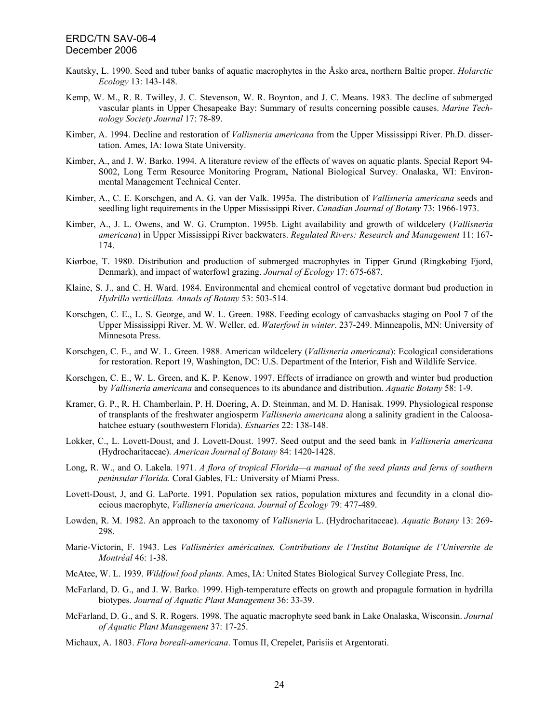- Kautsky, L. 1990. Seed and tuber banks of aquatic macrophytes in the Åsko area, northern Baltic proper. *Holarctic Ecology* 13: 143-148.
- Kemp, W. M., R. R. Twilley, J. C. Stevenson, W. R. Boynton, and J. C. Means. 1983. The decline of submerged vascular plants in Upper Chesapeake Bay: Summary of results concerning possible causes. *Marine Technology Society Journal* 17: 78-89.
- Kimber, A. 1994. Decline and restoration of *Vallisneria americana* from the Upper Mississippi River. Ph.D. dissertation. Ames, IA: Iowa State University.
- Kimber, A., and J. W. Barko. 1994. A literature review of the effects of waves on aquatic plants. Special Report 94- S002, Long Term Resource Monitoring Program, National Biological Survey. Onalaska, WI: Environmental Management Technical Center.
- Kimber, A., C. E. Korschgen, and A. G. van der Valk. 1995a. The distribution of *Vallisneria americana* seeds and seedling light requirements in the Upper Mississippi River. *Canadian Journal of Botany* 73: 1966-1973.
- Kimber, A., J. L. Owens, and W. G. Crumpton. 1995b. Light availability and growth of wildcelery (*Vallisneria americana*) in Upper Mississippi River backwaters. *Regulated Rivers: Research and Management* 11: 167- 174.
- Kiørboe, T. 1980. Distribution and production of submerged macrophytes in Tipper Grund (Ringkøbing Fjord, Denmark), and impact of waterfowl grazing. *Journal of Ecology* 17: 675-687.
- Klaine, S. J., and C. H. Ward. 1984. Environmental and chemical control of vegetative dormant bud production in *Hydrilla verticillata. Annals of Botany* 53: 503-514.
- Korschgen, C. E., L. S. George, and W. L. Green. 1988. Feeding ecology of canvasbacks staging on Pool 7 of the Upper Mississippi River. M. W. Weller, ed. *Waterfowl in winter*. 237-249. Minneapolis, MN: University of Minnesota Press.
- Korschgen, C. E., and W. L. Green. 1988. American wildcelery (*Vallisneria americana*): Ecological considerations for restoration. Report 19, Washington, DC: U.S. Department of the Interior, Fish and Wildlife Service.
- Korschgen, C. E., W. L. Green, and K. P. Kenow. 1997. Effects of irradiance on growth and winter bud production by *Vallisneria americana* and consequences to its abundance and distribution. *Aquatic Botany* 58: 1-9.
- Kramer, G. P., R. H. Chamberlain, P. H. Doering, A. D. Steinman, and M. D. Hanisak. 1999. Physiological response of transplants of the freshwater angiosperm *Vallisneria americana* along a salinity gradient in the Caloosahatchee estuary (southwestern Florida). *Estuaries* 22: 138-148.
- Lokker, C., L. Lovett-Doust, and J. Lovett-Doust. 1997. Seed output and the seed bank in *Vallisneria americana*  (Hydrocharitaceae). *American Journal of Botany* 84: 1420-1428.
- Long, R. W., and O. Lakela. 1971. *A flora of tropical Florida—a manual of the seed plants and ferns of southern peninsular Florida.* Coral Gables, FL: University of Miami Press.
- Lovett-Doust, J, and G. LaPorte. 1991. Population sex ratios, population mixtures and fecundity in a clonal dioecious macrophyte, *Vallisneria americana. Journal of Ecology* 79: 477-489.
- Lowden, R. M. 1982. An approach to the taxonomy of *Vallisneria* L. (Hydrocharitaceae). *Aquatic Botany* 13: 269- 298.
- Marie-Victorin, F. 1943. Les *Vallisnéries américaines. Contributions de l'Institut Botanique de l'Universite de Montréal* 46: 1-38.
- McAtee, W. L. 1939. *Wildfowl food plants*. Ames, IA: United States Biological Survey Collegiate Press, Inc.
- McFarland, D. G., and J. W. Barko. 1999. High-temperature effects on growth and propagule formation in hydrilla biotypes. *Journal of Aquatic Plant Management* 36: 33-39.
- McFarland, D. G., and S. R. Rogers. 1998. The aquatic macrophyte seed bank in Lake Onalaska, Wisconsin. *Journal of Aquatic Plant Management* 37: 17-25.
- Michaux, A. 1803. *Flora boreali-americana*. Tomus II, Crepelet, Parisiis et Argentorati.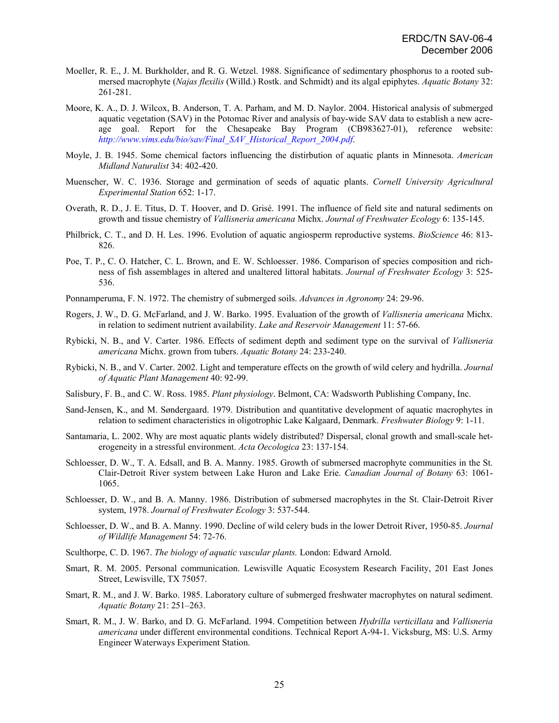- Moeller, R. E., J. M. Burkholder, and R. G. Wetzel. 1988. Significance of sedimentary phosphorus to a rooted submersed macrophyte (*Najas flexilis* (Willd.) Rostk. and Schmidt) and its algal epiphytes. *Aquatic Botany* 32: 261-281.
- Moore, K. A., D. J. Wilcox, B. Anderson, T. A. Parham, and M. D. Naylor. 2004. Historical analysis of submerged aquatic vegetation (SAV) in the Potomac River and analysis of bay-wide SAV data to establish a new acreage goal. Report for the Chesapeake Bay Program (CB983627-01), reference website: *[http://www.vims.edu/bio/sav/Final\\_SAV\\_Historical\\_Report\\_2004.pdf](http://www.vims.edu/bio/sav/Final_SAV_Historical_Report_2004.pdf)*.
- Moyle, J. B. 1945. Some chemical factors influencing the distirbution of aquatic plants in Minnesota. *American Midland Naturalist* 34: 402-420.
- Muenscher, W. C. 1936. Storage and germination of seeds of aquatic plants. *Cornell University Agricultural Experimental Station* 652: 1-17.
- Overath, R. D., J. E. Titus, D. T. Hoover, and D. Grisé. 1991. The influence of field site and natural sediments on growth and tissue chemistry of *Vallisneria americana* Michx. *Journal of Freshwater Ecology* 6: 135-145.
- Philbrick, C. T., and D. H. Les. 1996. Evolution of aquatic angiosperm reproductive systems. *BioScience* 46: 813- 826.
- Poe, T. P., C. O. Hatcher, C. L. Brown, and E. W. Schloesser. 1986. Comparison of species composition and richness of fish assemblages in altered and unaltered littoral habitats. *Journal of Freshwater Ecology* 3: 525- 536.
- Ponnamperuma, F. N. 1972. The chemistry of submerged soils. *Advances in Agronomy* 24: 29-96.
- Rogers, J. W., D. G. McFarland, and J. W. Barko. 1995. Evaluation of the growth of *Vallisneria americana* Michx. in relation to sediment nutrient availability. *Lake and Reservoir Management* 11: 57-66.
- Rybicki, N. B., and V. Carter. 1986. Effects of sediment depth and sediment type on the survival of *Vallisneria americana* Michx. grown from tubers. *Aquatic Botany* 24: 233-240.
- Rybicki, N. B., and V. Carter. 2002. Light and temperature effects on the growth of wild celery and hydrilla. *Journal of Aquatic Plant Management* 40: 92-99.
- Salisbury, F. B., and C. W. Ross. 1985. *Plant physiology*. Belmont, CA: Wadsworth Publishing Company, Inc.
- Sand-Jensen, K., and M. Søndergaard. 1979. Distribution and quantitative development of aquatic macrophytes in relation to sediment characteristics in oligotrophic Lake Kalgaard, Denmark. *Freshwater Biology* 9: 1-11.
- Santamaria, L. 2002. Why are most aquatic plants widely distributed? Dispersal, clonal growth and small-scale heterogeneity in a stressful environment. *Acta Oecologica* 23: 137-154.
- Schloesser, D. W., T. A. Edsall, and B. A. Manny. 1985. Growth of submersed macrophyte communities in the St. Clair-Detroit River system between Lake Huron and Lake Erie. *Canadian Journal of Botany* 63: 1061- 1065.
- Schloesser, D. W., and B. A. Manny. 1986. Distribution of submersed macrophytes in the St. Clair-Detroit River system, 1978. *Journal of Freshwater Ecology* 3: 537-544.
- Schloesser, D. W., and B. A. Manny. 1990. Decline of wild celery buds in the lower Detroit River, 1950-85. *Journal of Wildlife Management* 54: 72-76.
- Sculthorpe, C. D. 1967. *The biology of aquatic vascular plants.* London: Edward Arnold.
- Smart, R. M. 2005. Personal communication. Lewisville Aquatic Ecosystem Research Facility, 201 East Jones Street, Lewisville, TX 75057.
- Smart, R. M., and J. W. Barko. 1985. Laboratory culture of submerged freshwater macrophytes on natural sediment. *Aquatic Botany* 21: 251–263.
- Smart, R. M., J. W. Barko, and D. G. McFarland. 1994. Competition between *Hydrilla verticillata* and *Vallisneria americana* under different environmental conditions. Technical Report A-94-1. Vicksburg, MS: U.S. Army Engineer Waterways Experiment Station.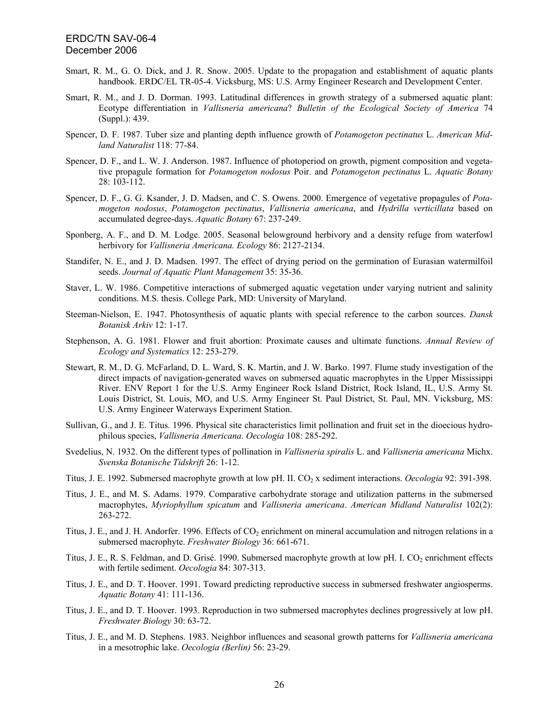- Smart, R. M., G. O. Dick, and J. R. Snow. 2005. Update to the propagation and establishment of aquatic plants handbook. ERDC/EL TR-05-4. Vicksburg, MS: U.S. Army Engineer Research and Development Center.
- Smart, R. M., and J. D. Dorman. 1993. Latitudinal differences in growth strategy of a submersed aquatic plant: Ecotype differentiation in *Vallisneria americana*? *Bulletin of the Ecological Society of America* 74 (Suppl.): 439.
- Spencer, D. F. 1987. Tuber size and planting depth influence growth of *Potamogeton pectinatus* L. *American Midland Naturalist* 118: 77-84.
- Spencer, D. F., and L. W. J. Anderson. 1987. Influence of photoperiod on growth, pigment composition and vegetative propagule formation for *Potamogeton nodosus* Poir. and *Potamogeton pectinatus* L. *Aquatic Botany* 28: 103-112.
- Spencer, D. F., G. G. Ksander, J. D. Madsen, and C. S. Owens. 2000. Emergence of vegetative propagules of *Potamogeton nodosus*, *Potamogeton pectinatus*, *Vallisneria americana*, and *Hydrilla verticillata* based on accumulated degree-days. *Aquatic Botany* 67: 237-249.
- Sponberg, A. F., and D. M. Lodge. 2005. Seasonal belowground herbivory and a density refuge from waterfowl herbivory for *Vallisneria Americana. Ecology* 86: 2127-2134.
- Standifer, N. E., and J. D. Madsen. 1997. The effect of drying period on the germination of Eurasian watermilfoil seeds. *Journal of Aquatic Plant Management* 35: 35-36.
- Staver, L. W. 1986. Competitive interactions of submerged aquatic vegetation under varying nutrient and salinity conditions. M.S. thesis. College Park, MD: University of Maryland.
- Steeman-Nielson, E. 1947. Photosynthesis of aquatic plants with special reference to the carbon sources. *Dansk Botanisk Arkiv* 12: 1-17.
- Stephenson, A. G. 1981. Flower and fruit abortion: Proximate causes and ultimate functions. *Annual Review of Ecology and Systematics* 12: 253-279.
- Stewart, R. M., D. G. McFarland, D. L. Ward, S. K. Martin, and J. W. Barko. 1997. Flume study investigation of the direct impacts of navigation-generated waves on submersed aquatic macrophytes in the Upper Mississippi River. ENV Report 1 for the U.S. Army Engineer Rock Island District, Rock Island, IL, U.S. Army St. Louis District, St. Louis, MO, and U.S. Army Engineer St. Paul District, St. Paul, MN. Vicksburg, MS: U.S. Army Engineer Waterways Experiment Station.
- Sullivan, G., and J. E. Titus. 1996. Physical site characteristics limit pollination and fruit set in the dioecious hydrophilous species, *Vallisneria Americana. Oecologia* 108: 285-292.
- Svedelius, N. 1932. On the different types of pollination in *Vallisneria spiralis* L. and *Vallisneria americana* Michx. *Svenska Botanische Tidskrift* 26: 1-12.
- Titus, J. E. 1992. Submersed macrophyte growth at low pH. II. CO<sub>2</sub> x sediment interactions. *Oecologia* 92: 391-398.
- Titus, J. E., and M. S. Adams. 1979. Comparative carbohydrate storage and utilization patterns in the submersed macrophytes, *Myriophyllum spicatum* and *Vallisneria americana*. *American Midland Naturalist* 102(2): 263-272.
- Titus, J. E., and J. H. Andorfer. 1996. Effects of CO<sub>2</sub> enrichment on mineral accumulation and nitrogen relations in a submersed macrophyte. *Freshwater Biology* 36: 661-671.
- Titus, J. E., R. S. Feldman, and D. Grisé. 1990. Submersed macrophyte growth at low pH. I. CO<sub>2</sub> enrichment effects with fertile sediment. *Oecologia* 84: 307-313.
- Titus, J. E., and D. T. Hoover. 1991. Toward predicting reproductive success in submersed freshwater angiosperms. *Aquatic Botany* 41: 111-136.
- Titus, J. E., and D. T. Hoover. 1993. Reproduction in two submersed macrophytes declines progressively at low pH. *Freshwater Biology* 30: 63-72.
- Titus, J. E., and M. D. Stephens. 1983. Neighbor influences and seasonal growth patterns for *Vallisneria americana* in a mesotrophic lake. *Oecologia (Berlin)* 56: 23-29.